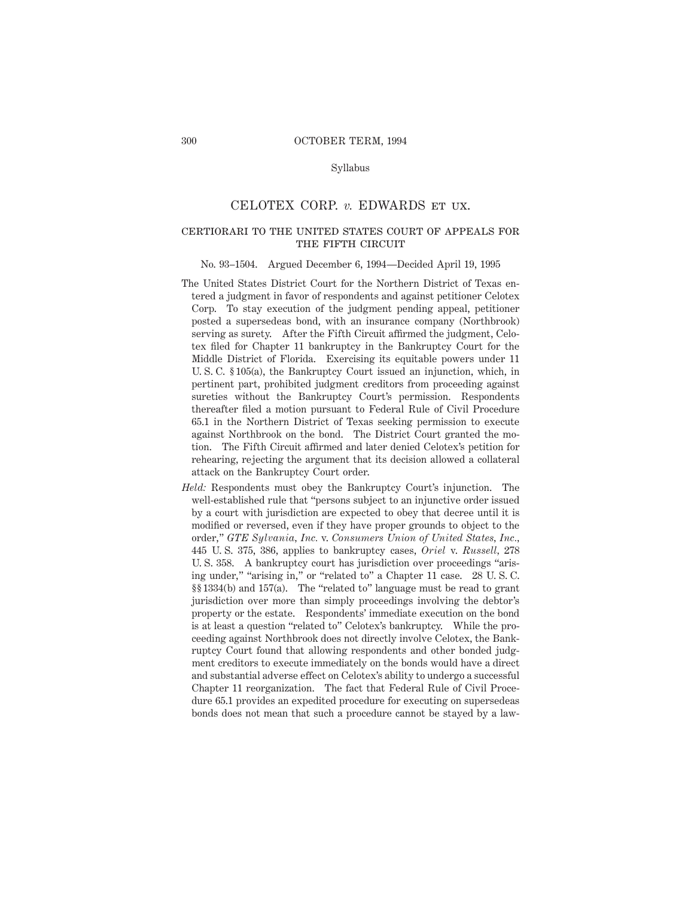#### Syllabus

# CELOTEX CORP. *v.* EDWARDS et ux.

# certiorari to the united states court of appeals for THE FIFTH CIRCUIT

#### No. 93–1504. Argued December 6, 1994—Decided April 19, 1995

- The United States District Court for the Northern District of Texas entered a judgment in favor of respondents and against petitioner Celotex Corp. To stay execution of the judgment pending appeal, petitioner posted a supersedeas bond, with an insurance company (Northbrook) serving as surety. After the Fifth Circuit affirmed the judgment, Celotex filed for Chapter 11 bankruptcy in the Bankruptcy Court for the Middle District of Florida. Exercising its equitable powers under 11 U. S. C. § 105(a), the Bankruptcy Court issued an injunction, which, in pertinent part, prohibited judgment creditors from proceeding against sureties without the Bankruptcy Court's permission. Respondents thereafter filed a motion pursuant to Federal Rule of Civil Procedure 65.1 in the Northern District of Texas seeking permission to execute against Northbrook on the bond. The District Court granted the motion. The Fifth Circuit affirmed and later denied Celotex's petition for rehearing, rejecting the argument that its decision allowed a collateral attack on the Bankruptcy Court order.
- *Held:* Respondents must obey the Bankruptcy Court's injunction. The well-established rule that "persons subject to an injunctive order issued by a court with jurisdiction are expected to obey that decree until it is modified or reversed, even if they have proper grounds to object to the order," *GTE Sylvania, Inc.* v. *Consumers Union of United States, Inc.,* 445 U. S. 375, 386, applies to bankruptcy cases, *Oriel* v. *Russell,* 278 U. S. 358. A bankruptcy court has jurisdiction over proceedings "arising under," "arising in," or "related to" a Chapter 11 case. 28 U. S. C. §§ 1334(b) and 157(a). The "related to" language must be read to grant jurisdiction over more than simply proceedings involving the debtor's property or the estate. Respondents' immediate execution on the bond is at least a question "related to" Celotex's bankruptcy. While the proceeding against Northbrook does not directly involve Celotex, the Bankruptcy Court found that allowing respondents and other bonded judgment creditors to execute immediately on the bonds would have a direct and substantial adverse effect on Celotex's ability to undergo a successful Chapter 11 reorganization. The fact that Federal Rule of Civil Procedure 65.1 provides an expedited procedure for executing on supersedeas bonds does not mean that such a procedure cannot be stayed by a law-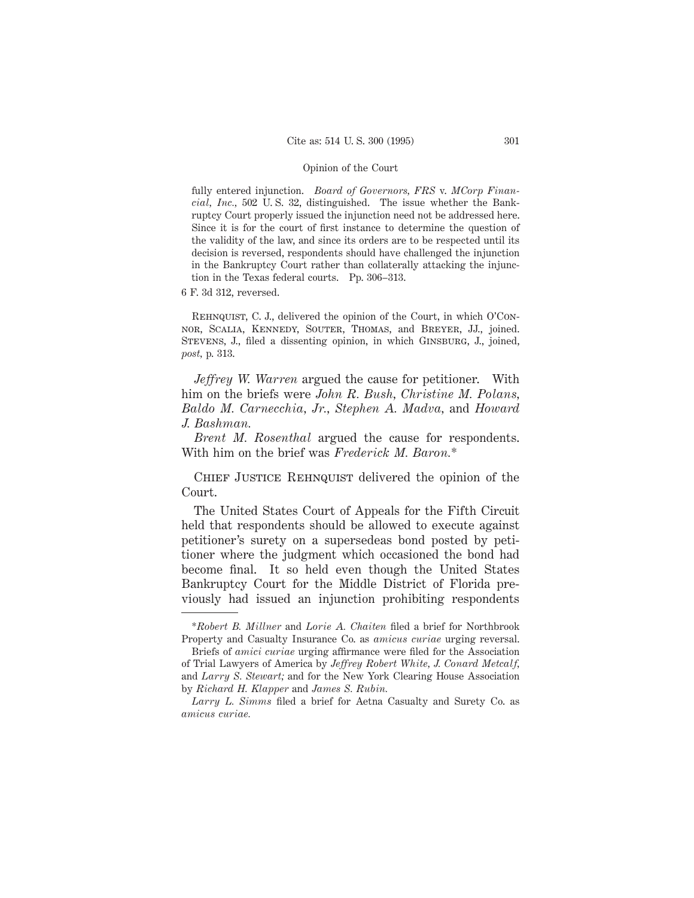fully entered injunction. *Board of Governors, FRS* v. *MCorp Financial, Inc.,* 502 U. S. 32, distinguished. The issue whether the Bankruptcy Court properly issued the injunction need not be addressed here. Since it is for the court of first instance to determine the question of the validity of the law, and since its orders are to be respected until its decision is reversed, respondents should have challenged the injunction in the Bankruptcy Court rather than collaterally attacking the injunction in the Texas federal courts. Pp. 306–313.

6 F. 3d 312, reversed.

REHNQUIST, C. J., delivered the opinion of the Court, in which O'Connor, Scalia, Kennedy, Souter, Thomas, and Breyer, JJ., joined. Stevens, J., filed a dissenting opinion, in which Ginsburg, J., joined, *post,* p. 313.

*Jeffrey W. Warren* argued the cause for petitioner. With him on the briefs were *John R. Bush, Christine M. Polans, Baldo M. Carnecchia, Jr., Stephen A. Madva,* and *Howard J. Bashman.*

*Brent M. Rosenthal* argued the cause for respondents. With him on the brief was *Frederick M. Baron.*\*

CHIEF JUSTICE REHNQUIST delivered the opinion of the Court.

The United States Court of Appeals for the Fifth Circuit held that respondents should be allowed to execute against petitioner's surety on a supersedeas bond posted by petitioner where the judgment which occasioned the bond had become final. It so held even though the United States Bankruptcy Court for the Middle District of Florida previously had issued an injunction prohibiting respondents

<sup>\*</sup>*Robert B. Millner* and *Lorie A. Chaiten* filed a brief for Northbrook Property and Casualty Insurance Co. as *amicus curiae* urging reversal.

Briefs of *amici curiae* urging affirmance were filed for the Association of Trial Lawyers of America by *Jeffrey Robert White, J. Conard Metcalf,* and *Larry S. Stewart;* and for the New York Clearing House Association by *Richard H. Klapper* and *James S. Rubin.*

*Larry L. Simms* filed a brief for Aetna Casualty and Surety Co. as *amicus curiae.*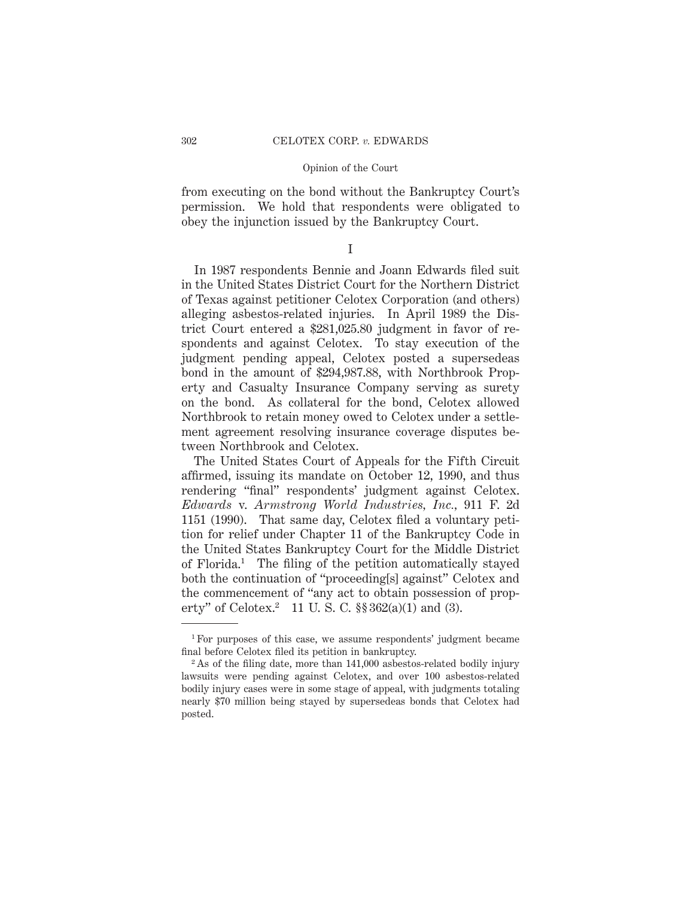from executing on the bond without the Bankruptcy Court's permission. We hold that respondents were obligated to obey the injunction issued by the Bankruptcy Court.

# I

In 1987 respondents Bennie and Joann Edwards filed suit in the United States District Court for the Northern District of Texas against petitioner Celotex Corporation (and others) alleging asbestos-related injuries. In April 1989 the District Court entered a \$281,025.80 judgment in favor of respondents and against Celotex. To stay execution of the judgment pending appeal, Celotex posted a supersedeas bond in the amount of \$294,987.88, with Northbrook Property and Casualty Insurance Company serving as surety on the bond. As collateral for the bond, Celotex allowed Northbrook to retain money owed to Celotex under a settlement agreement resolving insurance coverage disputes between Northbrook and Celotex.

The United States Court of Appeals for the Fifth Circuit affirmed, issuing its mandate on October 12, 1990, and thus rendering "final" respondents' judgment against Celotex. *Edwards* v. *Armstrong World Industries, Inc.,* 911 F. 2d 1151 (1990). That same day, Celotex filed a voluntary petition for relief under Chapter 11 of the Bankruptcy Code in the United States Bankruptcy Court for the Middle District of Florida.1 The filing of the petition automatically stayed both the continuation of "proceeding[s] against" Celotex and the commencement of "any act to obtain possession of property" of Celotex.<sup>2</sup> 11 U.S.C.  $\S$ § 362(a)(1) and (3).

<sup>1</sup> For purposes of this case, we assume respondents' judgment became final before Celotex filed its petition in bankruptcy.

 $2$ As of the filing date, more than 141,000 asbestos-related bodily injury lawsuits were pending against Celotex, and over 100 asbestos-related bodily injury cases were in some stage of appeal, with judgments totaling nearly \$70 million being stayed by supersedeas bonds that Celotex had posted.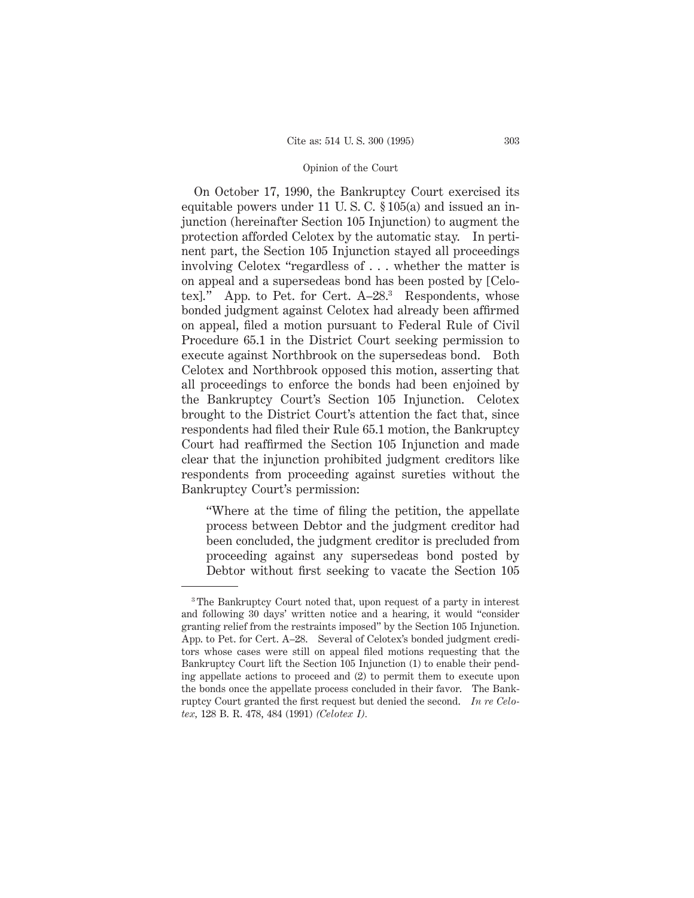On October 17, 1990, the Bankruptcy Court exercised its equitable powers under 11 U. S. C. § 105(a) and issued an injunction (hereinafter Section 105 Injunction) to augment the protection afforded Celotex by the automatic stay. In pertinent part, the Section 105 Injunction stayed all proceedings involving Celotex "regardless of . . . whether the matter is on appeal and a supersedeas bond has been posted by [Celotexl." App. to Pet. for Cert. A-28.<sup>3</sup> Respondents, whose bonded judgment against Celotex had already been affirmed on appeal, filed a motion pursuant to Federal Rule of Civil Procedure 65.1 in the District Court seeking permission to execute against Northbrook on the supersedeas bond. Both Celotex and Northbrook opposed this motion, asserting that all proceedings to enforce the bonds had been enjoined by the Bankruptcy Court's Section 105 Injunction. Celotex brought to the District Court's attention the fact that, since respondents had filed their Rule 65.1 motion, the Bankruptcy Court had reaffirmed the Section 105 Injunction and made clear that the injunction prohibited judgment creditors like respondents from proceeding against sureties without the Bankruptcy Court's permission:

"Where at the time of filing the petition, the appellate process between Debtor and the judgment creditor had been concluded, the judgment creditor is precluded from proceeding against any supersedeas bond posted by Debtor without first seeking to vacate the Section 105

<sup>&</sup>lt;sup>3</sup> The Bankruptcy Court noted that, upon request of a party in interest and following 30 days' written notice and a hearing, it would "consider granting relief from the restraints imposed" by the Section 105 Injunction. App. to Pet. for Cert. A–28. Several of Celotex's bonded judgment creditors whose cases were still on appeal filed motions requesting that the Bankruptcy Court lift the Section 105 Injunction (1) to enable their pending appellate actions to proceed and (2) to permit them to execute upon the bonds once the appellate process concluded in their favor. The Bankruptcy Court granted the first request but denied the second. *In re Celotex,* 128 B. R. 478, 484 (1991) *(Celotex I).*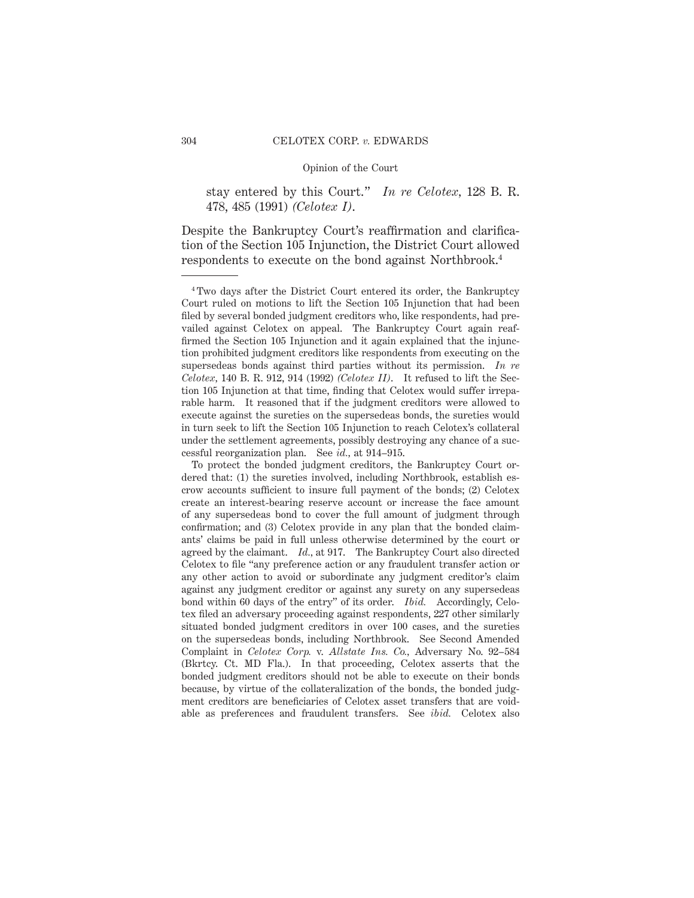stay entered by this Court." *In re Celotex,* 128 B. R. 478, 485 (1991) *(Celotex I)*.

Despite the Bankruptcy Court's reaffirmation and clarification of the Section 105 Injunction, the District Court allowed respondents to execute on the bond against Northbrook.4

<sup>4</sup> Two days after the District Court entered its order, the Bankruptcy Court ruled on motions to lift the Section 105 Injunction that had been filed by several bonded judgment creditors who, like respondents, had prevailed against Celotex on appeal. The Bankruptcy Court again reaffirmed the Section 105 Injunction and it again explained that the injunction prohibited judgment creditors like respondents from executing on the supersedeas bonds against third parties without its permission. *In re Celotex,* 140 B. R. 912, 914 (1992) *(Celotex II)*. It refused to lift the Section 105 Injunction at that time, finding that Celotex would suffer irreparable harm. It reasoned that if the judgment creditors were allowed to execute against the sureties on the supersedeas bonds, the sureties would in turn seek to lift the Section 105 Injunction to reach Celotex's collateral under the settlement agreements, possibly destroying any chance of a successful reorganization plan. See *id.,* at 914–915.

To protect the bonded judgment creditors, the Bankruptcy Court ordered that: (1) the sureties involved, including Northbrook, establish escrow accounts sufficient to insure full payment of the bonds; (2) Celotex create an interest-bearing reserve account or increase the face amount of any supersedeas bond to cover the full amount of judgment through confirmation; and (3) Celotex provide in any plan that the bonded claimants' claims be paid in full unless otherwise determined by the court or agreed by the claimant. *Id.*, at 917. The Bankruptcy Court also directed Celotex to file "any preference action or any fraudulent transfer action or any other action to avoid or subordinate any judgment creditor's claim against any judgment creditor or against any surety on any supersedeas bond within 60 days of the entry" of its order. *Ibid.* Accordingly, Celotex filed an adversary proceeding against respondents, 227 other similarly situated bonded judgment creditors in over 100 cases, and the sureties on the supersedeas bonds, including Northbrook. See Second Amended Complaint in *Celotex Corp.* v. *Allstate Ins. Co.,* Adversary No. 92–584 (Bkrtcy. Ct. MD Fla.). In that proceeding, Celotex asserts that the bonded judgment creditors should not be able to execute on their bonds because, by virtue of the collateralization of the bonds, the bonded judgment creditors are beneficiaries of Celotex asset transfers that are voidable as preferences and fraudulent transfers. See *ibid.* Celotex also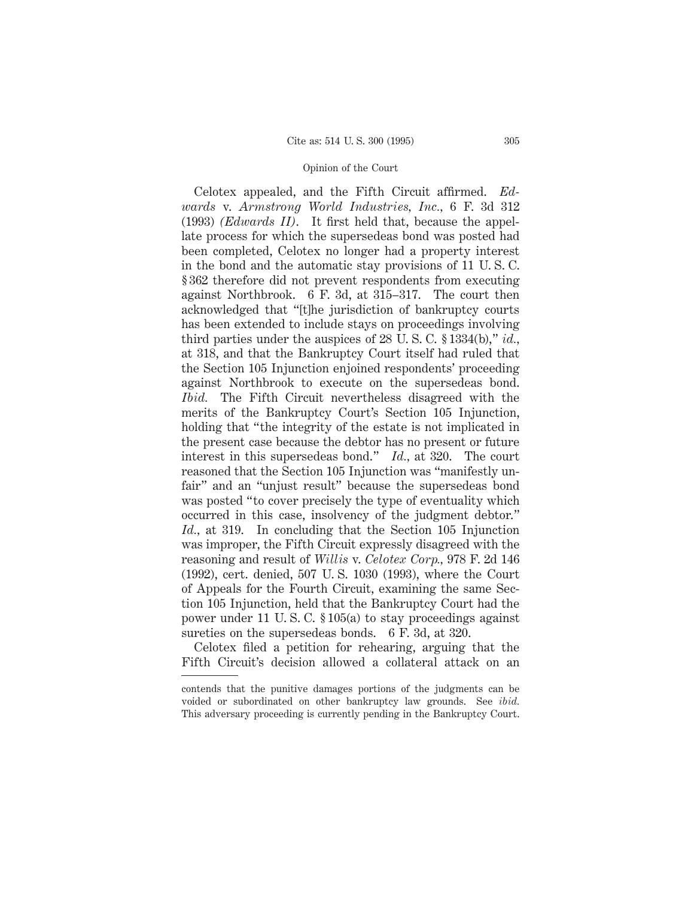Celotex appealed, and the Fifth Circuit affirmed. *Edwards* v. *Armstrong World Industries, Inc.,* 6 F. 3d 312 (1993) *(Edwards II)*. It first held that, because the appellate process for which the supersedeas bond was posted had been completed, Celotex no longer had a property interest in the bond and the automatic stay provisions of 11 U. S. C. § 362 therefore did not prevent respondents from executing against Northbrook. 6 F. 3d, at 315–317. The court then acknowledged that "[t]he jurisdiction of bankruptcy courts has been extended to include stays on proceedings involving third parties under the auspices of 28 U. S. C. § 1334(b)," *id.,* at 318, and that the Bankruptcy Court itself had ruled that the Section 105 Injunction enjoined respondents' proceeding against Northbrook to execute on the supersedeas bond. *Ibid.* The Fifth Circuit nevertheless disagreed with the merits of the Bankruptcy Court's Section 105 Injunction, holding that "the integrity of the estate is not implicated in the present case because the debtor has no present or future interest in this supersedeas bond." *Id.,* at 320. The court reasoned that the Section 105 Injunction was "manifestly unfair" and an "unjust result" because the supersedeas bond was posted "to cover precisely the type of eventuality which occurred in this case, insolvency of the judgment debtor." *Id.,* at 319. In concluding that the Section 105 Injunction was improper, the Fifth Circuit expressly disagreed with the reasoning and result of *Willis* v. *Celotex Corp.,* 978 F. 2d 146 (1992), cert. denied, 507 U. S. 1030 (1993), where the Court of Appeals for the Fourth Circuit, examining the same Section 105 Injunction, held that the Bankruptcy Court had the power under 11 U. S. C. § 105(a) to stay proceedings against sureties on the supersedeas bonds. 6 F. 3d, at 320.

Celotex filed a petition for rehearing, arguing that the Fifth Circuit's decision allowed a collateral attack on an

contends that the punitive damages portions of the judgments can be voided or subordinated on other bankruptcy law grounds. See *ibid.* This adversary proceeding is currently pending in the Bankruptcy Court.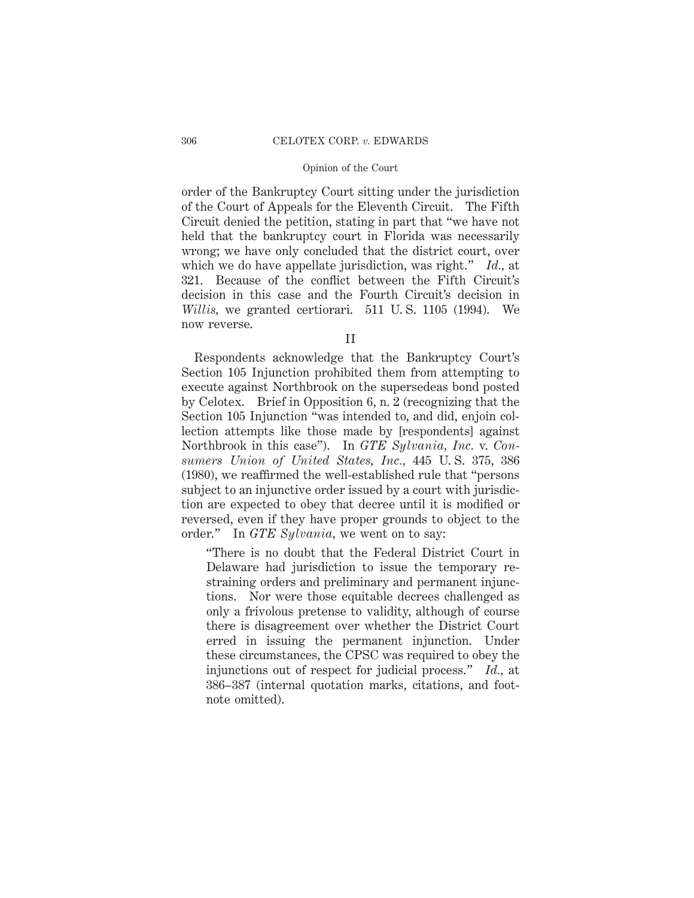order of the Bankruptcy Court sitting under the jurisdiction of the Court of Appeals for the Eleventh Circuit. The Fifth Circuit denied the petition, stating in part that "we have not held that the bankruptcy court in Florida was necessarily wrong; we have only concluded that the district court, over which we do have appellate jurisdiction, was right." *Id.,* at 321. Because of the conflict between the Fifth Circuit's decision in this case and the Fourth Circuit's decision in *Willis,* we granted certiorari. 511 U. S. 1105 (1994). We now reverse.

II

Respondents acknowledge that the Bankruptcy Court's Section 105 Injunction prohibited them from attempting to execute against Northbrook on the supersedeas bond posted by Celotex. Brief in Opposition 6, n. 2 (recognizing that the Section 105 Injunction "was intended to, and did, enjoin collection attempts like those made by [respondents] against Northbrook in this case"). In *GTE Sylvania, Inc.* v. *Consumers Union of United States, Inc.,* 445 U. S. 375, 386 (1980), we reaffirmed the well-established rule that "persons subject to an injunctive order issued by a court with jurisdiction are expected to obey that decree until it is modified or reversed, even if they have proper grounds to object to the order." In *GTE Sylvania,* we went on to say:

"There is no doubt that the Federal District Court in Delaware had jurisdiction to issue the temporary restraining orders and preliminary and permanent injunctions. Nor were those equitable decrees challenged as only a frivolous pretense to validity, although of course there is disagreement over whether the District Court erred in issuing the permanent injunction. Under these circumstances, the CPSC was required to obey the injunctions out of respect for judicial process." *Id.,* at 386–387 (internal quotation marks, citations, and footnote omitted).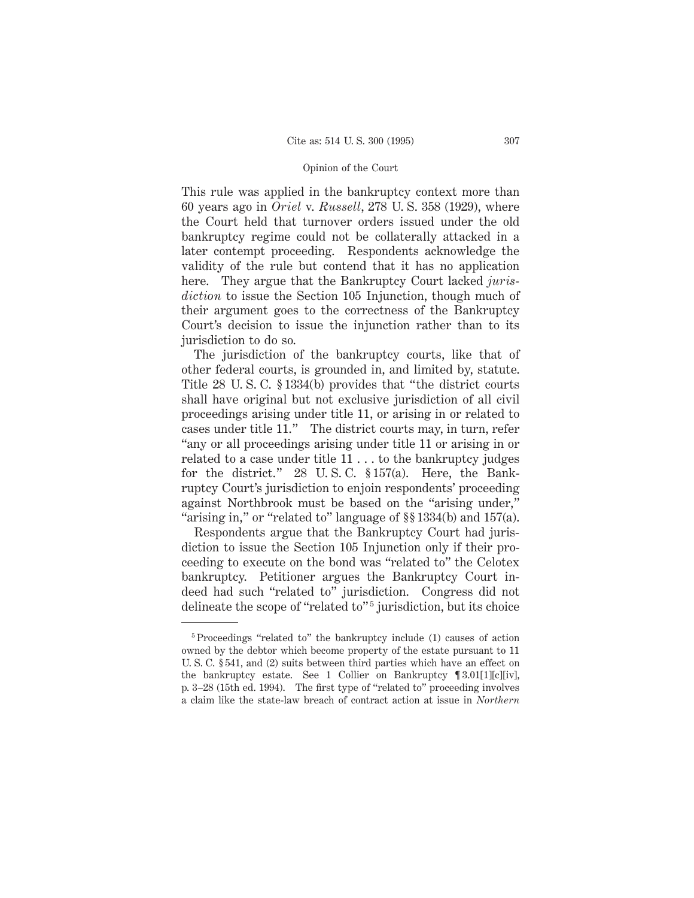This rule was applied in the bankruptcy context more than 60 years ago in *Oriel* v. *Russell*, 278 U. S. 358 (1929), where the Court held that turnover orders issued under the old bankruptcy regime could not be collaterally attacked in a later contempt proceeding. Respondents acknowledge the validity of the rule but contend that it has no application here. They argue that the Bankruptcy Court lacked *jurisdiction* to issue the Section 105 Injunction, though much of their argument goes to the correctness of the Bankruptcy Court's decision to issue the injunction rather than to its jurisdiction to do so.

The jurisdiction of the bankruptcy courts, like that of other federal courts, is grounded in, and limited by, statute. Title 28 U. S. C. § 1334(b) provides that "the district courts shall have original but not exclusive jurisdiction of all civil proceedings arising under title 11, or arising in or related to cases under title 11." The district courts may, in turn, refer "any or all proceedings arising under title 11 or arising in or related to a case under title 11... to the bankruptcy judges for the district." 28 U. S. C. § 157(a). Here, the Bankruptcy Court's jurisdiction to enjoin respondents' proceeding against Northbrook must be based on the "arising under," "arising in," or "related to" language of §§ 1334(b) and 157(a).

Respondents argue that the Bankruptcy Court had jurisdiction to issue the Section 105 Injunction only if their proceeding to execute on the bond was "related to" the Celotex bankruptcy. Petitioner argues the Bankruptcy Court indeed had such "related to" jurisdiction. Congress did not delineate the scope of "related to"<sup>5</sup> jurisdiction, but its choice

<sup>5</sup> Proceedings "related to" the bankruptcy include (1) causes of action owned by the debtor which become property of the estate pursuant to 11 U. S. C. § 541, and (2) suits between third parties which have an effect on the bankruptcy estate. See 1 Collier on Bankruptcy ¶ 3.01[1][c][iv], p. 3–28 (15th ed. 1994). The first type of "related to" proceeding involves a claim like the state-law breach of contract action at issue in *Northern*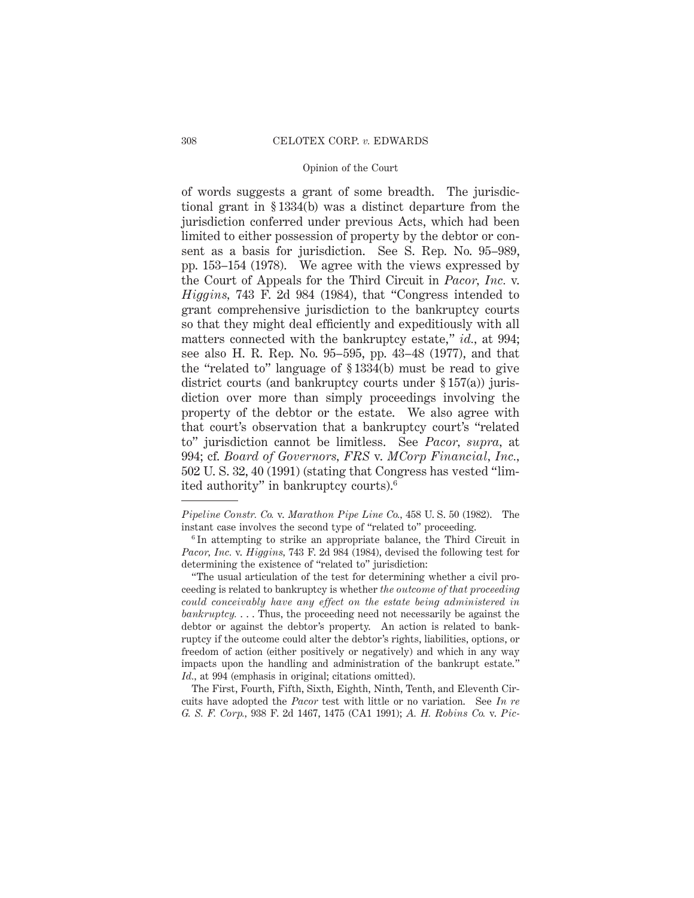of words suggests a grant of some breadth. The jurisdictional grant in § 1334(b) was a distinct departure from the jurisdiction conferred under previous Acts, which had been limited to either possession of property by the debtor or consent as a basis for jurisdiction. See S. Rep. No. 95–989, pp. 153–154 (1978). We agree with the views expressed by the Court of Appeals for the Third Circuit in *Pacor, Inc.* v. *Higgins,* 743 F. 2d 984 (1984), that "Congress intended to grant comprehensive jurisdiction to the bankruptcy courts so that they might deal efficiently and expeditiously with all matters connected with the bankruptcy estate," *id.,* at 994; see also H. R. Rep. No. 95–595, pp. 43–48 (1977), and that the "related to" language of § 1334(b) must be read to give district courts (and bankruptcy courts under § 157(a)) jurisdiction over more than simply proceedings involving the property of the debtor or the estate. We also agree with that court's observation that a bankruptcy court's "related to" jurisdiction cannot be limitless. See *Pacor, supra,* at 994; cf. *Board of Governors, FRS* v. *MCorp Financial, Inc.,* 502 U. S. 32, 40 (1991) (stating that Congress has vested "limited authority" in bankruptcy courts).6

*Pipeline Constr. Co.* v. *Marathon Pipe Line Co.,* 458 U. S. 50 (1982). The instant case involves the second type of "related to" proceeding.

<sup>&</sup>lt;sup>6</sup> In attempting to strike an appropriate balance, the Third Circuit in *Pacor, Inc.* v. *Higgins,* 743 F. 2d 984 (1984), devised the following test for determining the existence of "related to" jurisdiction:

<sup>&</sup>quot;The usual articulation of the test for determining whether a civil proceeding is related to bankruptcy is whether *the outcome of that proceeding could conceivably have any effect on the estate being administered in bankruptcy.* . . . Thus, the proceeding need not necessarily be against the debtor or against the debtor's property. An action is related to bankruptcy if the outcome could alter the debtor's rights, liabilities, options, or freedom of action (either positively or negatively) and which in any way impacts upon the handling and administration of the bankrupt estate." *Id.,* at 994 (emphasis in original; citations omitted).

The First, Fourth, Fifth, Sixth, Eighth, Ninth, Tenth, and Eleventh Circuits have adopted the *Pacor* test with little or no variation. See *In re G. S. F. Corp.,* 938 F. 2d 1467, 1475 (CA1 1991); *A. H. Robins Co.* v. *Pic-*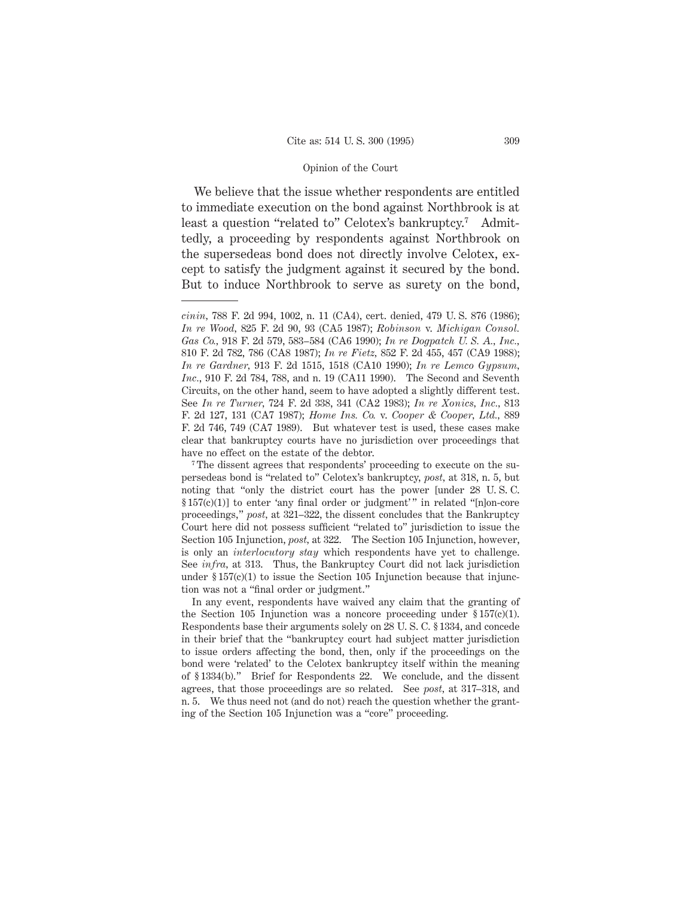We believe that the issue whether respondents are entitled to immediate execution on the bond against Northbrook is at least a question "related to" Celotex's bankruptcy.7 Admittedly, a proceeding by respondents against Northbrook on the supersedeas bond does not directly involve Celotex, except to satisfy the judgment against it secured by the bond. But to induce Northbrook to serve as surety on the bond,

*cinin,* 788 F. 2d 994, 1002, n. 11 (CA4), cert. denied, 479 U. S. 876 (1986); *In re Wood,* 825 F. 2d 90, 93 (CA5 1987); *Robinson* v. *Michigan Consol. Gas Co.,* 918 F. 2d 579, 583–584 (CA6 1990); *In re Dogpatch U. S. A., Inc.,* 810 F. 2d 782, 786 (CA8 1987); *In re Fietz,* 852 F. 2d 455, 457 (CA9 1988); *In re Gardner,* 913 F. 2d 1515, 1518 (CA10 1990); *In re Lemco Gypsum, Inc.*, 910 F. 2d 784, 788, and n. 19 (CA11 1990). The Second and Seventh Circuits, on the other hand, seem to have adopted a slightly different test. See *In re Turner,* 724 F. 2d 338, 341 (CA2 1983); *In re Xonics, Inc.,* 813 F. 2d 127, 131 (CA7 1987); *Home Ins. Co.* v. *Cooper & Cooper, Ltd.,* 889 F. 2d 746, 749 (CA7 1989). But whatever test is used, these cases make clear that bankruptcy courts have no jurisdiction over proceedings that have no effect on the estate of the debtor.

<sup>7</sup> The dissent agrees that respondents' proceeding to execute on the supersedeas bond is "related to" Celotex's bankruptcy, *post,* at 318, n. 5, but noting that "only the district court has the power [under 28 U. S. C. § 157(c)(1)] to enter 'any final order or judgment' " in related "[n]on-core proceedings," *post,* at 321–322, the dissent concludes that the Bankruptcy Court here did not possess sufficient "related to" jurisdiction to issue the Section 105 Injunction, *post,* at 322. The Section 105 Injunction, however, is only an *interlocutory stay* which respondents have yet to challenge. See *infra,* at 313. Thus, the Bankruptcy Court did not lack jurisdiction under  $\S 157(c)(1)$  to issue the Section 105 Injunction because that injunction was not a "final order or judgment."

In any event, respondents have waived any claim that the granting of the Section 105 Injunction was a noncore proceeding under  $\S 157(c)(1)$ . Respondents base their arguments solely on 28 U. S. C. § 1334, and concede in their brief that the "bankruptcy court had subject matter jurisdiction to issue orders affecting the bond, then, only if the proceedings on the bond were 'related' to the Celotex bankruptcy itself within the meaning of § 1334(b)." Brief for Respondents 22. We conclude, and the dissent agrees, that those proceedings are so related. See *post,* at 317–318, and n. 5. We thus need not (and do not) reach the question whether the granting of the Section 105 Injunction was a "core" proceeding.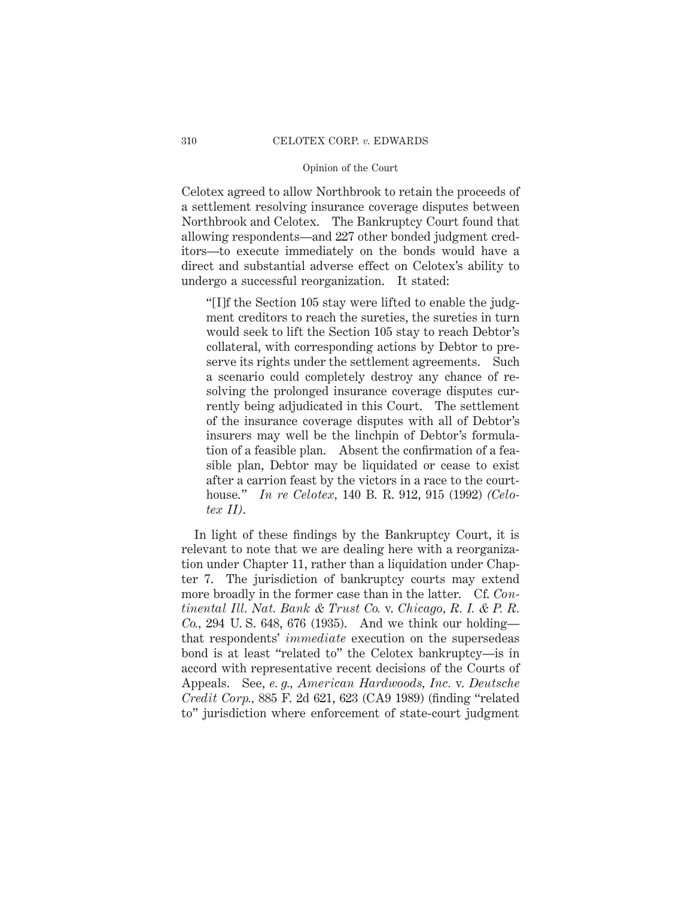Celotex agreed to allow Northbrook to retain the proceeds of a settlement resolving insurance coverage disputes between Northbrook and Celotex. The Bankruptcy Court found that allowing respondents—and 227 other bonded judgment creditors—to execute immediately on the bonds would have a direct and substantial adverse effect on Celotex's ability to undergo a successful reorganization. It stated:

"[I]f the Section 105 stay were lifted to enable the judgment creditors to reach the sureties, the sureties in turn would seek to lift the Section 105 stay to reach Debtor's collateral, with corresponding actions by Debtor to preserve its rights under the settlement agreements. Such a scenario could completely destroy any chance of resolving the prolonged insurance coverage disputes currently being adjudicated in this Court. The settlement of the insurance coverage disputes with all of Debtor's insurers may well be the linchpin of Debtor's formulation of a feasible plan. Absent the confirmation of a feasible plan, Debtor may be liquidated or cease to exist after a carrion feast by the victors in a race to the courthouse." *In re Celotex,* 140 B. R. 912, 915 (1992) *(Celotex II)*.

In light of these findings by the Bankruptcy Court, it is relevant to note that we are dealing here with a reorganization under Chapter 11, rather than a liquidation under Chapter 7. The jurisdiction of bankruptcy courts may extend more broadly in the former case than in the latter. Cf. *Continental Ill. Nat. Bank & Trust Co.* v. *Chicago, R. I. & P. R. Co.,* 294 U. S. 648, 676 (1935). And we think our holding that respondents' *immediate* execution on the supersedeas bond is at least "related to" the Celotex bankruptcy—is in accord with representative recent decisions of the Courts of Appeals. See, *e. g., American Hardwoods, Inc.* v. *Deutsche Credit Corp.,* 885 F. 2d 621, 623 (CA9 1989) (finding "related to" jurisdiction where enforcement of state-court judgment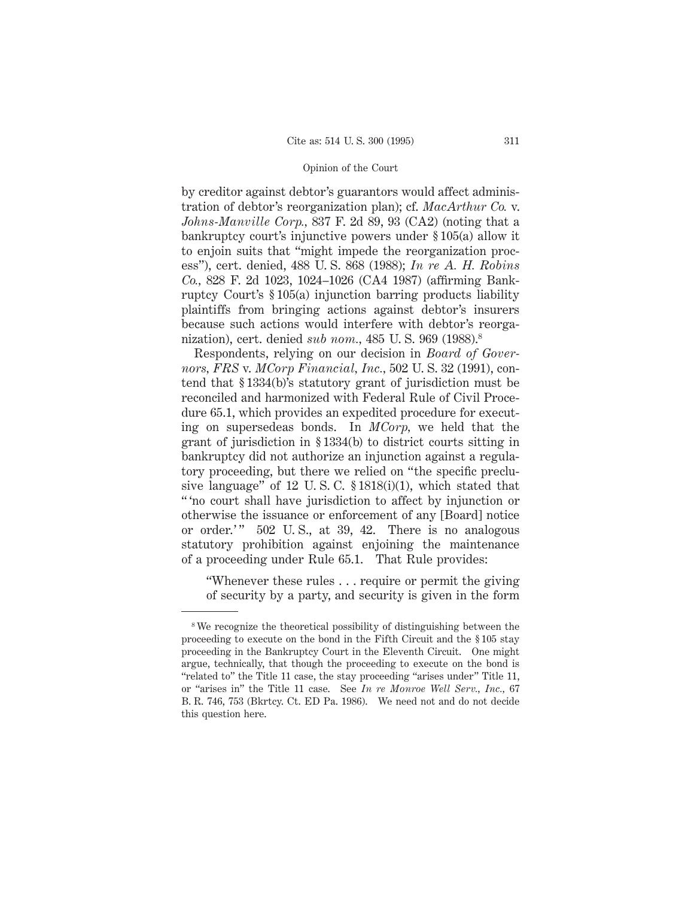by creditor against debtor's guarantors would affect administration of debtor's reorganization plan); cf. *MacArthur Co.* v. *Johns-Manville Corp.,* 837 F. 2d 89, 93 (CA2) (noting that a bankruptcy court's injunctive powers under § 105(a) allow it to enjoin suits that "might impede the reorganization process"), cert. denied, 488 U. S. 868 (1988); *In re A. H. Robins Co.,* 828 F. 2d 1023, 1024–1026 (CA4 1987) (affirming Bankruptcy Court's § 105(a) injunction barring products liability plaintiffs from bringing actions against debtor's insurers because such actions would interfere with debtor's reorganization), cert. denied *sub nom.,* 485 U. S. 969 (1988).8

Respondents, relying on our decision in *Board of Governors, FRS* v. *MCorp Financial, Inc.,* 502 U. S. 32 (1991), contend that § 1334(b)'s statutory grant of jurisdiction must be reconciled and harmonized with Federal Rule of Civil Procedure 65.1, which provides an expedited procedure for executing on supersedeas bonds. In *MCorp,* we held that the grant of jurisdiction in § 1334(b) to district courts sitting in bankruptcy did not authorize an injunction against a regulatory proceeding, but there we relied on "the specific preclusive language" of 12 U. S. C. § 1818(i)(1), which stated that " 'no court shall have jurisdiction to affect by injunction or otherwise the issuance or enforcement of any [Board] notice or order.'" 502 U.S., at 39, 42. There is no analogous statutory prohibition against enjoining the maintenance of a proceeding under Rule 65.1. That Rule provides:

"Whenever these rules... require or permit the giving of security by a party, and security is given in the form

<sup>8</sup> We recognize the theoretical possibility of distinguishing between the proceeding to execute on the bond in the Fifth Circuit and the § 105 stay proceeding in the Bankruptcy Court in the Eleventh Circuit. One might argue, technically, that though the proceeding to execute on the bond is "related to" the Title 11 case, the stay proceeding "arises under" Title 11, or "arises in" the Title 11 case. See *In re Monroe Well Serv., Inc.,* 67 B. R. 746, 753 (Bkrtcy. Ct. ED Pa. 1986). We need not and do not decide this question here.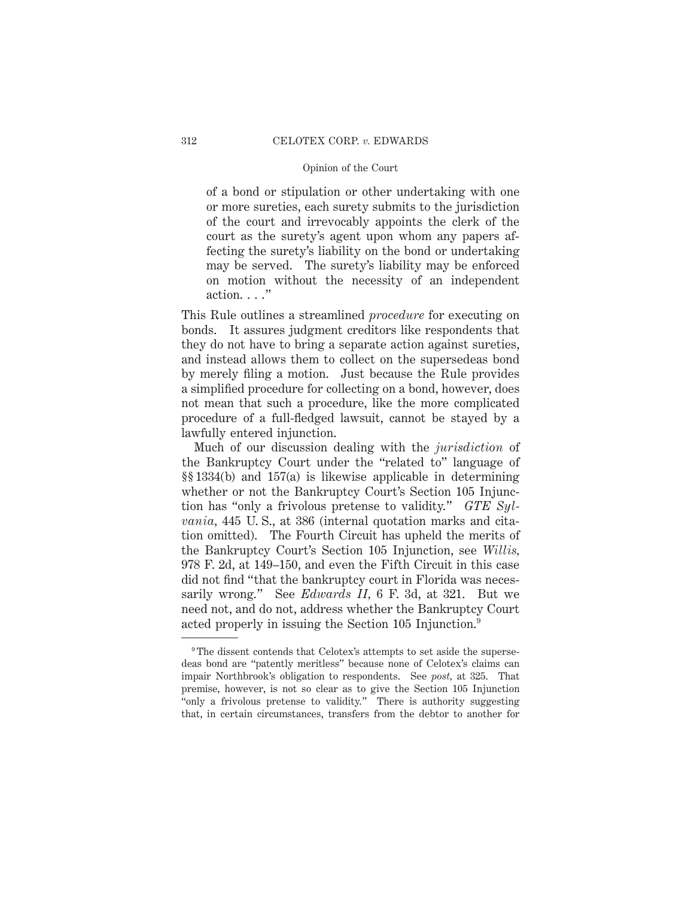of a bond or stipulation or other undertaking with one or more sureties, each surety submits to the jurisdiction of the court and irrevocably appoints the clerk of the court as the surety's agent upon whom any papers affecting the surety's liability on the bond or undertaking may be served. The surety's liability may be enforced on motion without the necessity of an independent action. . . ."

This Rule outlines a streamlined *procedure* for executing on bonds. It assures judgment creditors like respondents that they do not have to bring a separate action against sureties, and instead allows them to collect on the supersedeas bond by merely filing a motion. Just because the Rule provides a simplified procedure for collecting on a bond, however, does not mean that such a procedure, like the more complicated procedure of a full-fledged lawsuit, cannot be stayed by a lawfully entered injunction.

Much of our discussion dealing with the *jurisdiction* of the Bankruptcy Court under the "related to" language of §§ 1334(b) and 157(a) is likewise applicable in determining whether or not the Bankruptcy Court's Section 105 Injunction has "only a frivolous pretense to validity." *GTE Sylvania,* 445 U. S., at 386 (internal quotation marks and citation omitted). The Fourth Circuit has upheld the merits of the Bankruptcy Court's Section 105 Injunction, see *Willis,* 978 F. 2d, at 149–150, and even the Fifth Circuit in this case did not find "that the bankruptcy court in Florida was necessarily wrong." See *Edwards II,* 6 F. 3d, at 321. But we need not, and do not, address whether the Bankruptcy Court acted properly in issuing the Section 105 Injunction.9

<sup>&</sup>lt;sup>9</sup>The dissent contends that Celotex's attempts to set aside the supersedeas bond are "patently meritless" because none of Celotex's claims can impair Northbrook's obligation to respondents. See *post,* at 325. That premise, however, is not so clear as to give the Section 105 Injunction "only a frivolous pretense to validity." There is authority suggesting that, in certain circumstances, transfers from the debtor to another for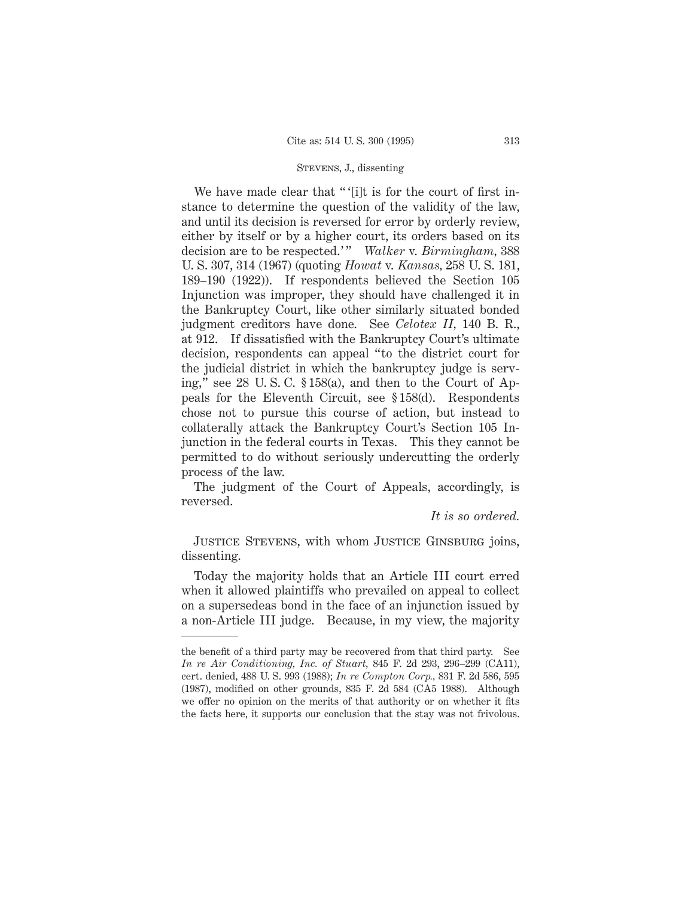We have made clear that "'[i]t is for the court of first instance to determine the question of the validity of the law, and until its decision is reversed for error by orderly review, either by itself or by a higher court, its orders based on its decision are to be respected.' " *Walker* v. *Birmingham,* 388 U. S. 307, 314 (1967) (quoting *Howat* v. *Kansas,* 258 U. S. 181, 189–190 (1922)). If respondents believed the Section 105 Injunction was improper, they should have challenged it in the Bankruptcy Court, like other similarly situated bonded judgment creditors have done. See *Celotex II,* 140 B. R., at 912. If dissatisfied with the Bankruptcy Court's ultimate decision, respondents can appeal "to the district court for the judicial district in which the bankruptcy judge is serving," see 28 U. S. C. § 158(a), and then to the Court of Appeals for the Eleventh Circuit, see § 158(d). Respondents chose not to pursue this course of action, but instead to collaterally attack the Bankruptcy Court's Section 105 Injunction in the federal courts in Texas. This they cannot be permitted to do without seriously undercutting the orderly process of the law.

The judgment of the Court of Appeals, accordingly, is reversed.

*It is so ordered.*

Justice Stevens, with whom Justice Ginsburg joins, dissenting.

Today the majority holds that an Article III court erred when it allowed plaintiffs who prevailed on appeal to collect on a supersedeas bond in the face of an injunction issued by a non-Article III judge. Because, in my view, the majority

the benefit of a third party may be recovered from that third party. See *In re Air Conditioning, Inc. of Stuart,* 845 F. 2d 293, 296–299 (CA11), cert. denied, 488 U. S. 993 (1988); *In re Compton Corp.,* 831 F. 2d 586, 595 (1987), modified on other grounds, 835 F. 2d 584 (CA5 1988). Although we offer no opinion on the merits of that authority or on whether it fits the facts here, it supports our conclusion that the stay was not frivolous.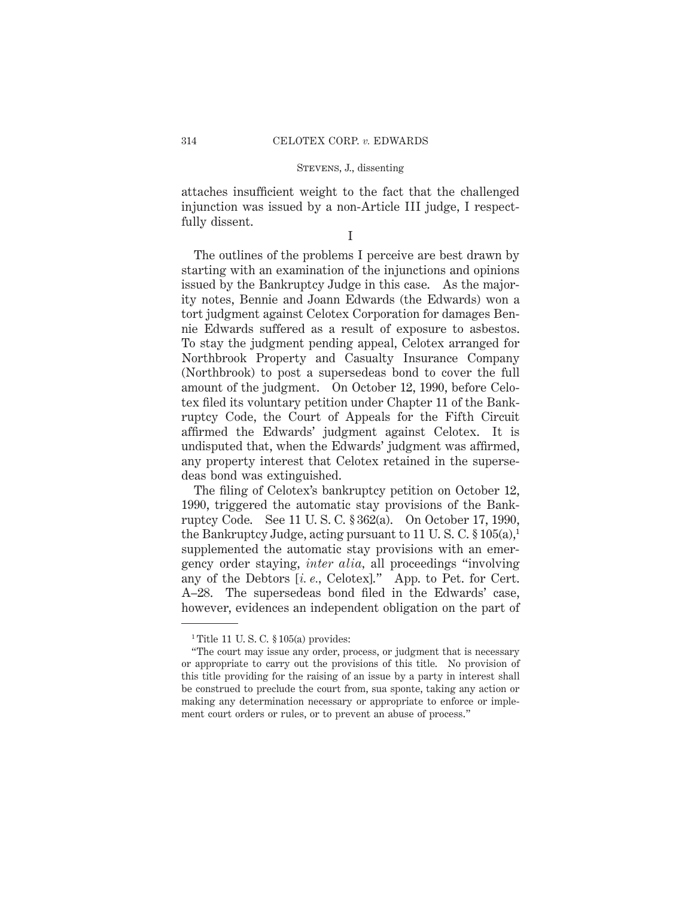attaches insufficient weight to the fact that the challenged injunction was issued by a non-Article III judge, I respectfully dissent.

I

The outlines of the problems I perceive are best drawn by starting with an examination of the injunctions and opinions issued by the Bankruptcy Judge in this case. As the majority notes, Bennie and Joann Edwards (the Edwards) won a tort judgment against Celotex Corporation for damages Bennie Edwards suffered as a result of exposure to asbestos. To stay the judgment pending appeal, Celotex arranged for Northbrook Property and Casualty Insurance Company (Northbrook) to post a supersedeas bond to cover the full amount of the judgment. On October 12, 1990, before Celotex filed its voluntary petition under Chapter 11 of the Bankruptcy Code, the Court of Appeals for the Fifth Circuit affirmed the Edwards' judgment against Celotex. It is undisputed that, when the Edwards' judgment was affirmed, any property interest that Celotex retained in the supersedeas bond was extinguished.

The filing of Celotex's bankruptcy petition on October 12, 1990, triggered the automatic stay provisions of the Bankruptcy Code. See 11 U. S. C. § 362(a). On October 17, 1990, the Bankruptcy Judge, acting pursuant to 11 U.S.C.  $\S 105(a)$ , supplemented the automatic stay provisions with an emergency order staying, *inter alia,* all proceedings "involving any of the Debtors [*i. e.,* Celotex]." App. to Pet. for Cert. A–28. The supersedeas bond filed in the Edwards' case, however, evidences an independent obligation on the part of

<sup>&</sup>lt;sup>1</sup> Title 11 U.S.C.  $$105(a)$  provides:

<sup>&</sup>quot;The court may issue any order, process, or judgment that is necessary or appropriate to carry out the provisions of this title. No provision of this title providing for the raising of an issue by a party in interest shall be construed to preclude the court from, sua sponte, taking any action or making any determination necessary or appropriate to enforce or implement court orders or rules, or to prevent an abuse of process."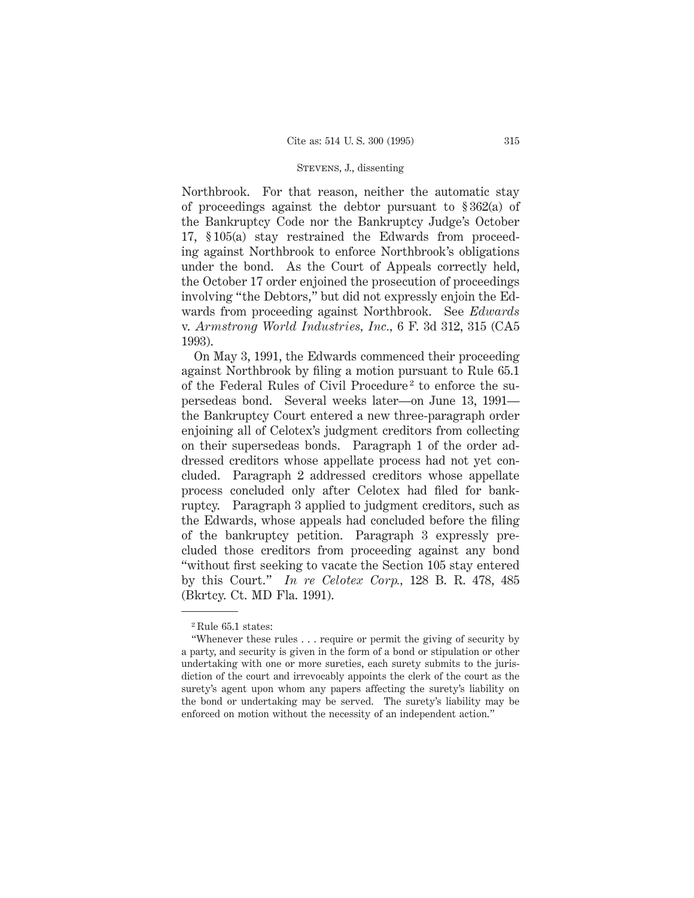Northbrook. For that reason, neither the automatic stay of proceedings against the debtor pursuant to § 362(a) of the Bankruptcy Code nor the Bankruptcy Judge's October 17, § 105(a) stay restrained the Edwards from proceeding against Northbrook to enforce Northbrook's obligations under the bond. As the Court of Appeals correctly held, the October 17 order enjoined the prosecution of proceedings involving "the Debtors," but did not expressly enjoin the Edwards from proceeding against Northbrook. See *Edwards* v. *Armstrong World Industries, Inc.,* 6 F. 3d 312, 315 (CA5 1993).

On May 3, 1991, the Edwards commenced their proceeding against Northbrook by filing a motion pursuant to Rule 65.1 of the Federal Rules of Civil Procedure<sup>2</sup> to enforce the supersedeas bond. Several weeks later—on June 13, 1991 the Bankruptcy Court entered a new three-paragraph order enjoining all of Celotex's judgment creditors from collecting on their supersedeas bonds. Paragraph 1 of the order addressed creditors whose appellate process had not yet concluded. Paragraph 2 addressed creditors whose appellate process concluded only after Celotex had filed for bankruptcy. Paragraph 3 applied to judgment creditors, such as the Edwards, whose appeals had concluded before the filing of the bankruptcy petition. Paragraph 3 expressly precluded those creditors from proceeding against any bond "without first seeking to vacate the Section 105 stay entered by this Court." *In re Celotex Corp.,* 128 B. R. 478, 485 (Bkrtcy. Ct. MD Fla. 1991).

<sup>2</sup> Rule 65.1 states:

<sup>&</sup>quot;Whenever these rules . . . require or permit the giving of security by a party, and security is given in the form of a bond or stipulation or other undertaking with one or more sureties, each surety submits to the jurisdiction of the court and irrevocably appoints the clerk of the court as the surety's agent upon whom any papers affecting the surety's liability on the bond or undertaking may be served. The surety's liability may be enforced on motion without the necessity of an independent action."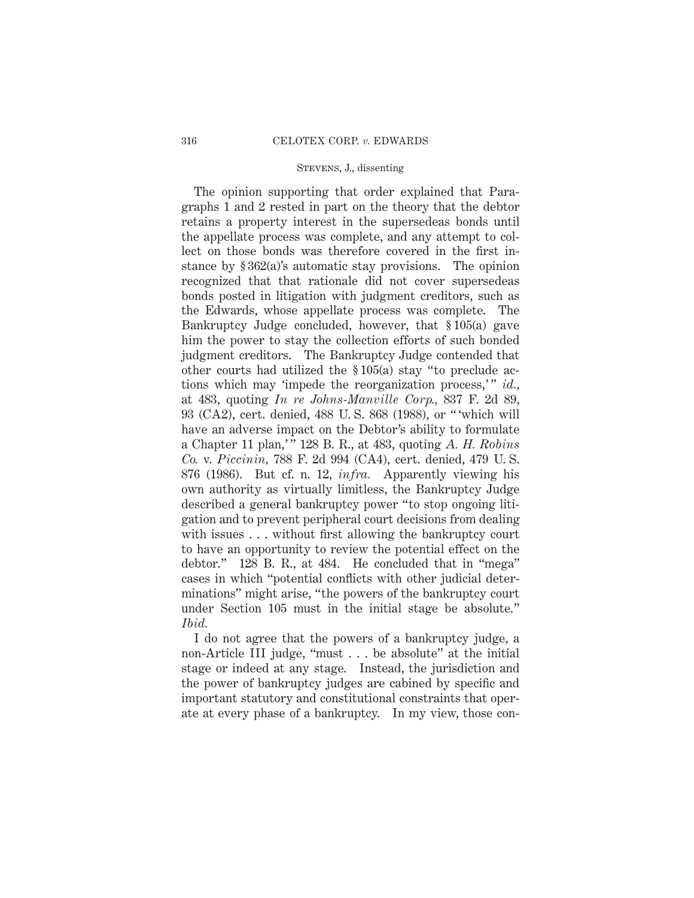The opinion supporting that order explained that Paragraphs 1 and 2 rested in part on the theory that the debtor retains a property interest in the supersedeas bonds until the appellate process was complete, and any attempt to collect on those bonds was therefore covered in the first instance by § 362(a)'s automatic stay provisions. The opinion recognized that that rationale did not cover supersedeas bonds posted in litigation with judgment creditors, such as the Edwards, whose appellate process was complete. The Bankruptcy Judge concluded, however, that § 105(a) gave him the power to stay the collection efforts of such bonded judgment creditors. The Bankruptcy Judge contended that other courts had utilized the § 105(a) stay "to preclude actions which may 'impede the reorganization process,'" *id.*, at 483, quoting *In re Johns-Manville Corp.,* 837 F. 2d 89, 93 (CA2), cert. denied, 488 U. S. 868 (1988), or " 'which will have an adverse impact on the Debtor's ability to formulate a Chapter 11 plan,' " 128 B. R., at 483, quoting *A. H. Robins Co.* v. *Piccinin,* 788 F. 2d 994 (CA4), cert. denied, 479 U. S. 876 (1986). But cf. n. 12, *infra.* Apparently viewing his own authority as virtually limitless, the Bankruptcy Judge described a general bankruptcy power "to stop ongoing litigation and to prevent peripheral court decisions from dealing with issues . . . without first allowing the bankruptcy court to have an opportunity to review the potential effect on the debtor." 128 B. R., at 484. He concluded that in "mega" cases in which "potential conflicts with other judicial determinations" might arise, "the powers of the bankruptcy court under Section 105 must in the initial stage be absolute." *Ibid.*

I do not agree that the powers of a bankruptcy judge, a non-Article III judge, "must . . . be absolute" at the initial stage or indeed at any stage. Instead, the jurisdiction and the power of bankruptcy judges are cabined by specific and important statutory and constitutional constraints that operate at every phase of a bankruptcy. In my view, those con-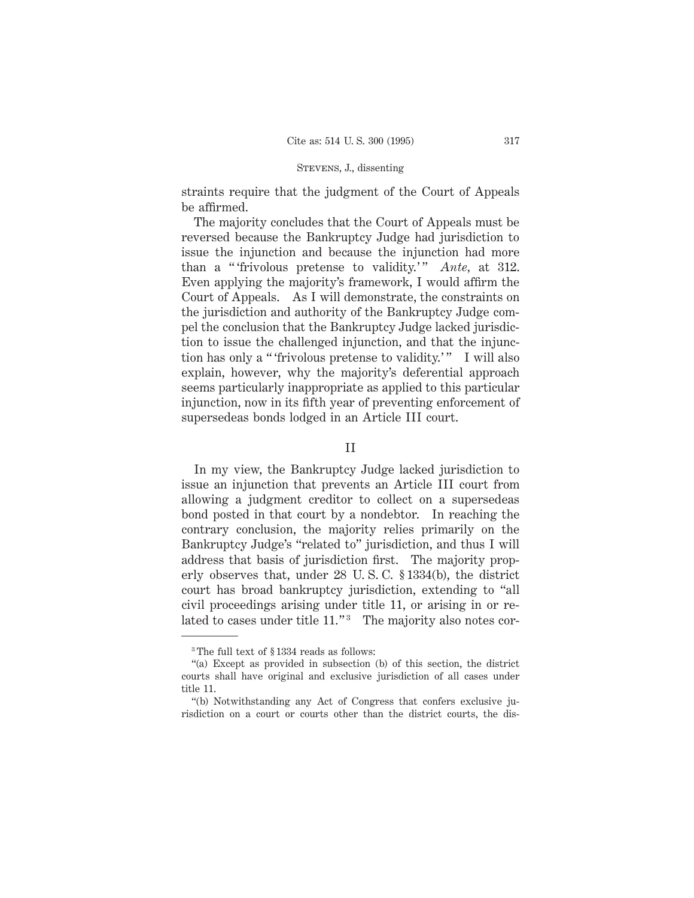straints require that the judgment of the Court of Appeals be affirmed.

The majority concludes that the Court of Appeals must be reversed because the Bankruptcy Judge had jurisdiction to issue the injunction and because the injunction had more than a "'frivolous pretense to validity.'" *Ante*, at 312. Even applying the majority's framework, I would affirm the Court of Appeals. As I will demonstrate, the constraints on the jurisdiction and authority of the Bankruptcy Judge compel the conclusion that the Bankruptcy Judge lacked jurisdiction to issue the challenged injunction, and that the injunction has only a "'frivolous pretense to validity.'" I will also explain, however, why the majority's deferential approach seems particularly inappropriate as applied to this particular injunction, now in its fifth year of preventing enforcement of supersedeas bonds lodged in an Article III court.

II

In my view, the Bankruptcy Judge lacked jurisdiction to issue an injunction that prevents an Article III court from allowing a judgment creditor to collect on a supersedeas bond posted in that court by a nondebtor. In reaching the contrary conclusion, the majority relies primarily on the Bankruptcy Judge's "related to" jurisdiction, and thus I will address that basis of jurisdiction first. The majority properly observes that, under 28 U. S. C. § 1334(b), the district court has broad bankruptcy jurisdiction, extending to "all civil proceedings arising under title 11, or arising in or related to cases under title 11."<sup>3</sup> The majority also notes cor-

<sup>3</sup> The full text of § 1334 reads as follows:

<sup>&</sup>quot;(a) Except as provided in subsection (b) of this section, the district courts shall have original and exclusive jurisdiction of all cases under title 11.

<sup>&</sup>quot;(b) Notwithstanding any Act of Congress that confers exclusive jurisdiction on a court or courts other than the district courts, the dis-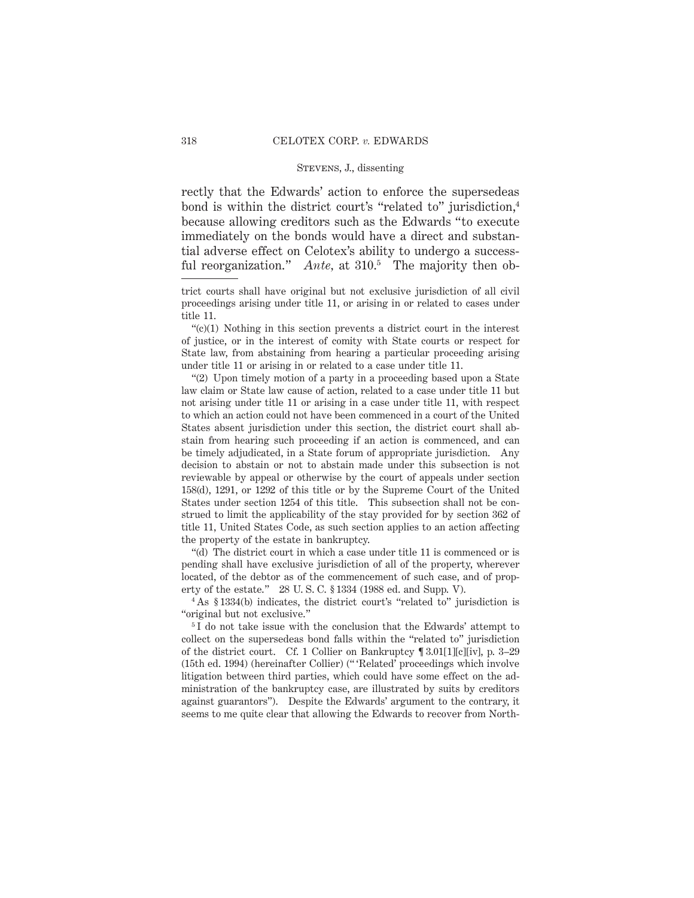rectly that the Edwards' action to enforce the supersedeas bond is within the district court's "related to" jurisdiction,4 because allowing creditors such as the Edwards "to execute immediately on the bonds would have a direct and substantial adverse effect on Celotex's ability to undergo a successful reorganization." *Ante*, at 310.<sup>5</sup> The majority then ob-

trict courts shall have original but not exclusive jurisdiction of all civil proceedings arising under title 11, or arising in or related to cases under title 11.

"(c)(1) Nothing in this section prevents a district court in the interest of justice, or in the interest of comity with State courts or respect for State law, from abstaining from hearing a particular proceeding arising under title 11 or arising in or related to a case under title 11.

"(2) Upon timely motion of a party in a proceeding based upon a State law claim or State law cause of action, related to a case under title 11 but not arising under title 11 or arising in a case under title 11, with respect to which an action could not have been commenced in a court of the United States absent jurisdiction under this section, the district court shall abstain from hearing such proceeding if an action is commenced, and can be timely adjudicated, in a State forum of appropriate jurisdiction. Any decision to abstain or not to abstain made under this subsection is not reviewable by appeal or otherwise by the court of appeals under section 158(d), 1291, or 1292 of this title or by the Supreme Court of the United States under section 1254 of this title. This subsection shall not be construed to limit the applicability of the stay provided for by section 362 of title 11, United States Code, as such section applies to an action affecting the property of the estate in bankruptcy.

"(d) The district court in which a case under title 11 is commenced or is pending shall have exclusive jurisdiction of all of the property, wherever located, of the debtor as of the commencement of such case, and of property of the estate." 28 U. S. C. § 1334 (1988 ed. and Supp. V).

<sup>4</sup> As § 1334(b) indicates, the district court's "related to" jurisdiction is "original but not exclusive."

<sup>5</sup>I do not take issue with the conclusion that the Edwards' attempt to collect on the supersedeas bond falls within the "related to" jurisdiction of the district court. Cf. 1 Collier on Bankruptcy ¶ 3.01[1][c][iv], p. 3–29 (15th ed. 1994) (hereinafter Collier) (" 'Related' proceedings which involve litigation between third parties, which could have some effect on the administration of the bankruptcy case, are illustrated by suits by creditors against guarantors"). Despite the Edwards' argument to the contrary, it seems to me quite clear that allowing the Edwards to recover from North-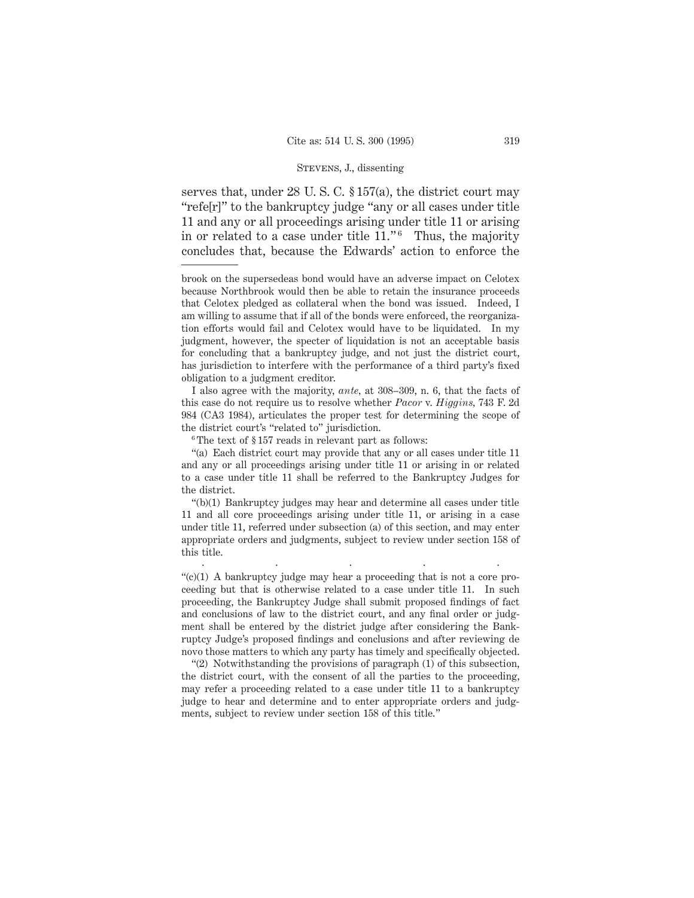serves that, under 28 U. S. C. § 157(a), the district court may "refe[r]" to the bankruptcy judge "any or all cases under title 11 and any or all proceedings arising under title 11 or arising in or related to a case under title  $11.^{6}$ . Thus, the majority concludes that, because the Edwards' action to enforce the

I also agree with the majority, *ante,* at 308–309, n. 6, that the facts of this case do not require us to resolve whether *Pacor* v. *Higgins,* 743 F. 2d 984 (CA3 1984), articulates the proper test for determining the scope of the district court's "related to" jurisdiction.

<sup>6</sup> The text of § 157 reads in relevant part as follows:

"(a) Each district court may provide that any or all cases under title 11 and any or all proceedings arising under title 11 or arising in or related to a case under title 11 shall be referred to the Bankruptcy Judges for the district.

"(b)(1) Bankruptcy judges may hear and determine all cases under title 11 and all core proceedings arising under title 11, or arising in a case under title 11, referred under subsection (a) of this section, and may enter appropriate orders and judgments, subject to review under section 158 of this title.

.....

" $(c)(1)$  A bankruptcy judge may hear a proceeding that is not a core proceeding but that is otherwise related to a case under title 11. In such proceeding, the Bankruptcy Judge shall submit proposed findings of fact and conclusions of law to the district court, and any final order or judgment shall be entered by the district judge after considering the Bankruptcy Judge's proposed findings and conclusions and after reviewing de novo those matters to which any party has timely and specifically objected.

"(2) Notwithstanding the provisions of paragraph (1) of this subsection, the district court, with the consent of all the parties to the proceeding, may refer a proceeding related to a case under title 11 to a bankruptcy judge to hear and determine and to enter appropriate orders and judgments, subject to review under section 158 of this title."

brook on the supersedeas bond would have an adverse impact on Celotex because Northbrook would then be able to retain the insurance proceeds that Celotex pledged as collateral when the bond was issued. Indeed, I am willing to assume that if all of the bonds were enforced, the reorganization efforts would fail and Celotex would have to be liquidated. In my judgment, however, the specter of liquidation is not an acceptable basis for concluding that a bankruptcy judge, and not just the district court, has jurisdiction to interfere with the performance of a third party's fixed obligation to a judgment creditor.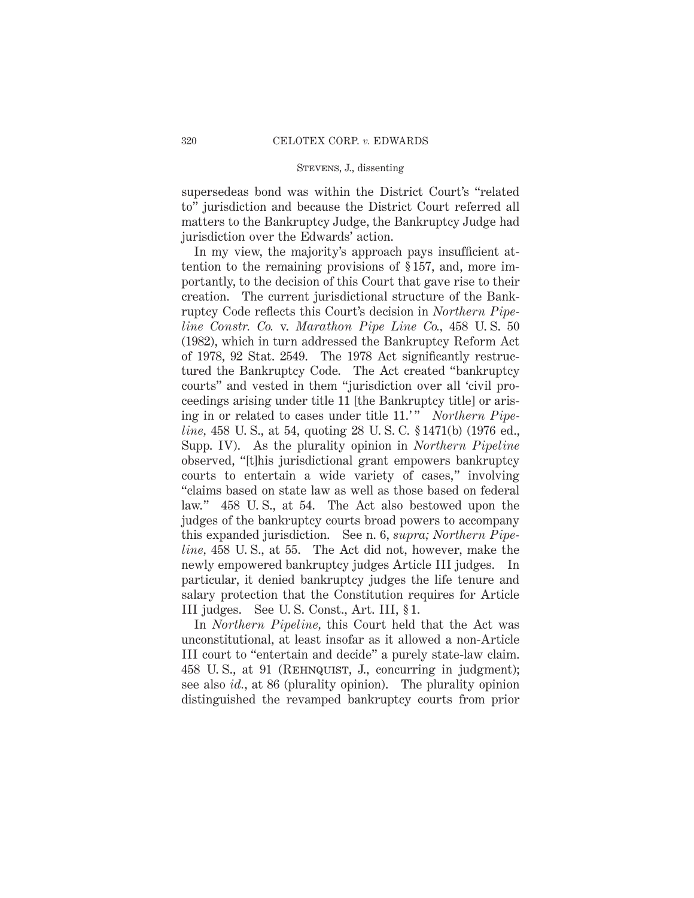supersedeas bond was within the District Court's "related to" jurisdiction and because the District Court referred all matters to the Bankruptcy Judge, the Bankruptcy Judge had jurisdiction over the Edwards' action.

In my view, the majority's approach pays insufficient attention to the remaining provisions of § 157, and, more importantly, to the decision of this Court that gave rise to their creation. The current jurisdictional structure of the Bankruptcy Code reflects this Court's decision in *Northern Pipeline Constr. Co.* v. *Marathon Pipe Line Co.,* 458 U. S. 50 (1982), which in turn addressed the Bankruptcy Reform Act of 1978, 92 Stat. 2549. The 1978 Act significantly restructured the Bankruptcy Code. The Act created "bankruptcy courts" and vested in them "jurisdiction over all 'civil proceedings arising under title 11 [the Bankruptcy title] or arising in or related to cases under title 11.'" *Northern Pipeline*, 458 U. S., at 54, quoting 28 U. S. C. § 1471(b) (1976 ed., Supp. IV). As the plurality opinion in *Northern Pipeline* observed, "[t]his jurisdictional grant empowers bankruptcy courts to entertain a wide variety of cases," involving "claims based on state law as well as those based on federal law." 458 U. S., at 54. The Act also bestowed upon the judges of the bankruptcy courts broad powers to accompany this expanded jurisdiction. See n. 6, *supra; Northern Pipeline,* 458 U. S., at 55. The Act did not, however, make the newly empowered bankruptcy judges Article III judges. In particular, it denied bankruptcy judges the life tenure and salary protection that the Constitution requires for Article III judges. See U. S. Const., Art. III, § 1.

In *Northern Pipeline,* this Court held that the Act was unconstitutional, at least insofar as it allowed a non-Article III court to "entertain and decide" a purely state-law claim. 458 U.S., at 91 (REHNQUIST, J., concurring in judgment); see also *id.*, at 86 (plurality opinion). The plurality opinion distinguished the revamped bankruptcy courts from prior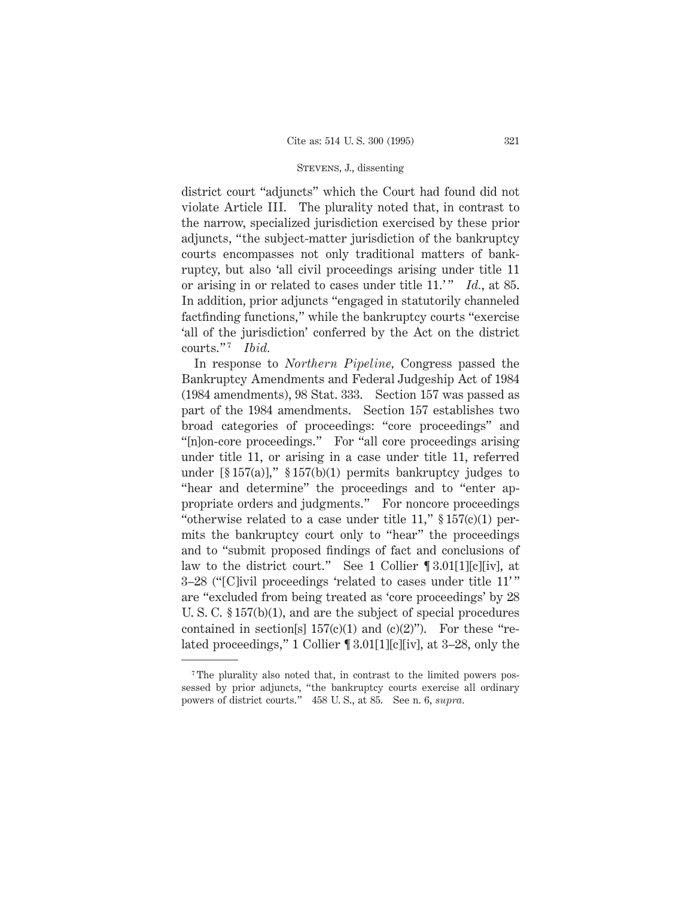district court "adjuncts" which the Court had found did not violate Article III. The plurality noted that, in contrast to the narrow, specialized jurisdiction exercised by these prior adjuncts, "the subject-matter jurisdiction of the bankruptcy courts encompasses not only traditional matters of bankruptcy, but also 'all civil proceedings arising under title 11 or arising in or related to cases under title 11.'" *Id.*, at 85. In addition, prior adjuncts "engaged in statutorily channeled factfinding functions," while the bankruptcy courts "exercise 'all of the jurisdiction' conferred by the Act on the district courts."<sup>7</sup> *Ibid.* 

In response to *Northern Pipeline,* Congress passed the Bankruptcy Amendments and Federal Judgeship Act of 1984 (1984 amendments), 98 Stat. 333. Section 157 was passed as part of the 1984 amendments. Section 157 establishes two broad categories of proceedings: "core proceedings" and "[n]on-core proceedings." For "all core proceedings arising under title 11, or arising in a case under title 11, referred under  $[\$ 157(a)],$ "  $\$ 157(b)(1)$  permits bankruptcy judges to "hear and determine" the proceedings and to "enter appropriate orders and judgments." For noncore proceedings "otherwise related to a case under title 11,"  $\S 157(c)(1)$  permits the bankruptcy court only to "hear" the proceedings and to "submit proposed findings of fact and conclusions of law to the district court." See 1 Collier ¶ 3.01[1][c][iv], at 3–28 ("[C]ivil proceedings 'related to cases under title 11' " are "excluded from being treated as 'core proceedings' by 28 U. S. C. § 157(b)(1), and are the subject of special procedures contained in section[s]  $157(c)(1)$  and  $(c)(2)$ "). For these "related proceedings," 1 Collier ¶ 3.01[1][c][iv], at 3–28, only the

<sup>7</sup> The plurality also noted that, in contrast to the limited powers possessed by prior adjuncts, "the bankruptcy courts exercise all ordinary powers of district courts." 458 U. S., at 85. See n. 6, *supra.*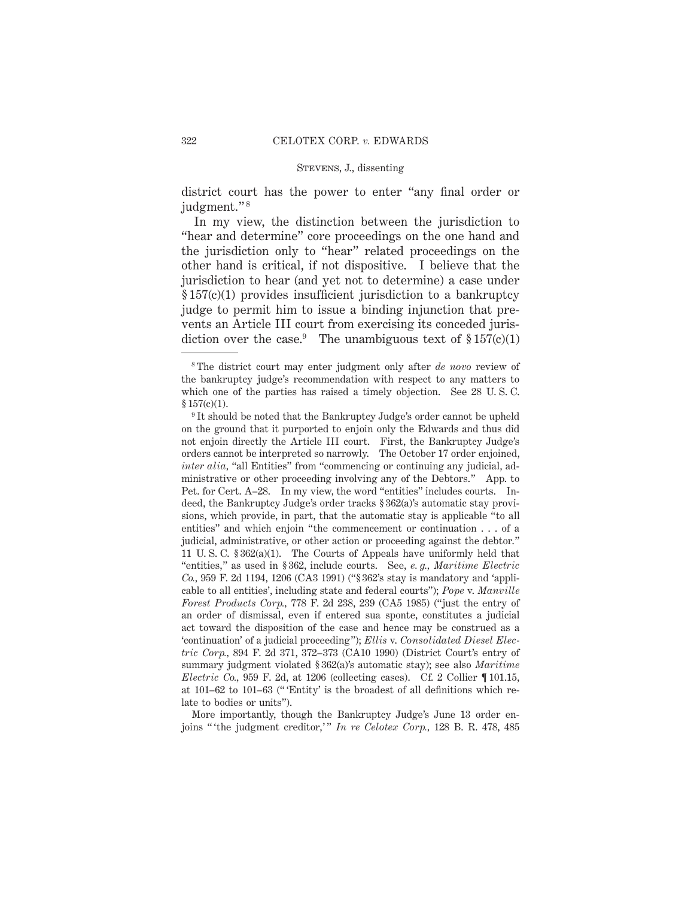district court has the power to enter "any final order or judgment." <sup>8</sup>

In my view, the distinction between the jurisdiction to "hear and determine" core proceedings on the one hand and the jurisdiction only to "hear" related proceedings on the other hand is critical, if not dispositive. I believe that the jurisdiction to hear (and yet not to determine) a case under § 157(c)(1) provides insufficient jurisdiction to a bankruptcy judge to permit him to issue a binding injunction that prevents an Article III court from exercising its conceded jurisdiction over the case.<sup>9</sup> The unambiguous text of  $\S 157(c)(1)$ 

More importantly, though the Bankruptcy Judge's June 13 order enjoins " 'the judgment creditor,' " *In re Celotex Corp.,* 128 B. R. 478, 485

<sup>8</sup> The district court may enter judgment only after *de novo* review of the bankruptcy judge's recommendation with respect to any matters to which one of the parties has raised a timely objection. See 28 U. S. C.  $$157(c)(1).$ 

<sup>&</sup>lt;sup>9</sup> It should be noted that the Bankruptcy Judge's order cannot be upheld on the ground that it purported to enjoin only the Edwards and thus did not enjoin directly the Article III court. First, the Bankruptcy Judge's orders cannot be interpreted so narrowly. The October 17 order enjoined, *inter alia,* "all Entities" from "commencing or continuing any judicial, administrative or other proceeding involving any of the Debtors." App. to Pet. for Cert. A–28. In my view, the word "entities" includes courts. Indeed, the Bankruptcy Judge's order tracks § 362(a)'s automatic stay provisions, which provide, in part, that the automatic stay is applicable "to all entities" and which enjoin "the commencement or continuation . . . of a judicial, administrative, or other action or proceeding against the debtor." 11 U. S. C. § 362(a)(1). The Courts of Appeals have uniformly held that "entities," as used in § 362, include courts. See, *e. g., Maritime Electric Co.,* 959 F. 2d 1194, 1206 (CA3 1991) ("§ 362's stay is mandatory and 'applicable to all entities', including state and federal courts"); *Pope* v. *Manville Forest Products Corp.,* 778 F. 2d 238, 239 (CA5 1985) ("just the entry of an order of dismissal, even if entered sua sponte, constitutes a judicial act toward the disposition of the case and hence may be construed as a 'continuation' of a judicial proceeding"); *Ellis* v. *Consolidated Diesel Electric Corp.,* 894 F. 2d 371, 372–373 (CA10 1990) (District Court's entry of summary judgment violated § 362(a)'s automatic stay); see also *Maritime Electric Co.,* 959 F. 2d, at 1206 (collecting cases). Cf. 2 Collier ¶ 101.15, at 101–62 to 101–63 (" 'Entity' is the broadest of all definitions which relate to bodies or units").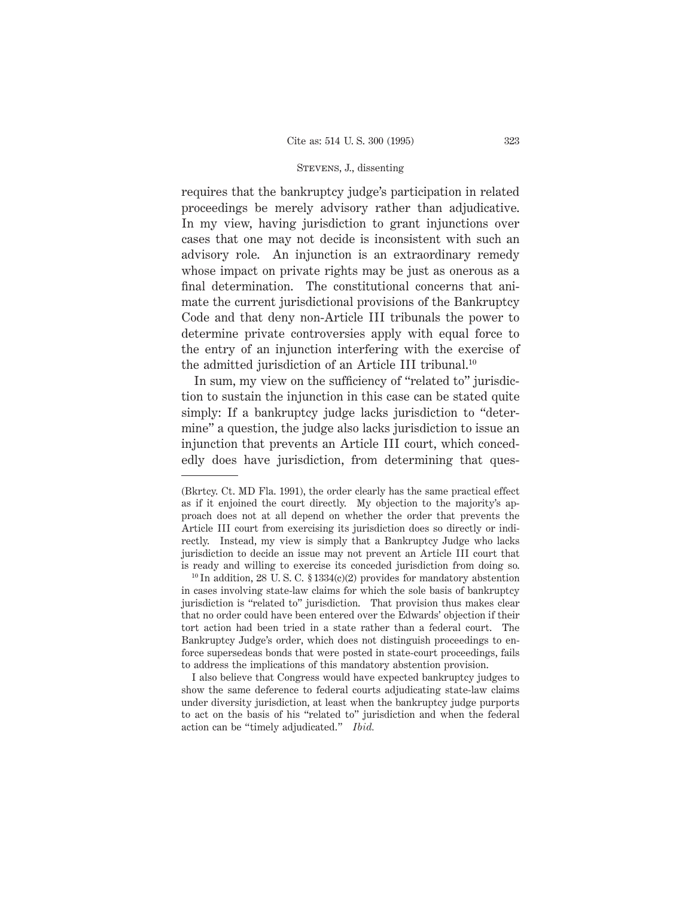requires that the bankruptcy judge's participation in related proceedings be merely advisory rather than adjudicative. In my view, having jurisdiction to grant injunctions over cases that one may not decide is inconsistent with such an advisory role. An injunction is an extraordinary remedy whose impact on private rights may be just as onerous as a final determination. The constitutional concerns that animate the current jurisdictional provisions of the Bankruptcy Code and that deny non-Article III tribunals the power to determine private controversies apply with equal force to the entry of an injunction interfering with the exercise of the admitted jurisdiction of an Article III tribunal.10

In sum, my view on the sufficiency of "related to" jurisdiction to sustain the injunction in this case can be stated quite simply: If a bankruptcy judge lacks jurisdiction to "determine" a question, the judge also lacks jurisdiction to issue an injunction that prevents an Article III court, which concededly does have jurisdiction, from determining that ques-

I also believe that Congress would have expected bankruptcy judges to show the same deference to federal courts adjudicating state-law claims under diversity jurisdiction, at least when the bankruptcy judge purports to act on the basis of his "related to" jurisdiction and when the federal action can be "timely adjudicated." *Ibid.*

<sup>(</sup>Bkrtcy. Ct. MD Fla. 1991), the order clearly has the same practical effect as if it enjoined the court directly. My objection to the majority's approach does not at all depend on whether the order that prevents the Article III court from exercising its jurisdiction does so directly or indirectly. Instead, my view is simply that a Bankruptcy Judge who lacks jurisdiction to decide an issue may not prevent an Article III court that is ready and willing to exercise its conceded jurisdiction from doing so.

 $10$  In addition, 28 U.S.C. § 1334(c)(2) provides for mandatory abstention in cases involving state-law claims for which the sole basis of bankruptcy jurisdiction is "related to" jurisdiction. That provision thus makes clear that no order could have been entered over the Edwards' objection if their tort action had been tried in a state rather than a federal court. The Bankruptcy Judge's order, which does not distinguish proceedings to enforce supersedeas bonds that were posted in state-court proceedings, fails to address the implications of this mandatory abstention provision.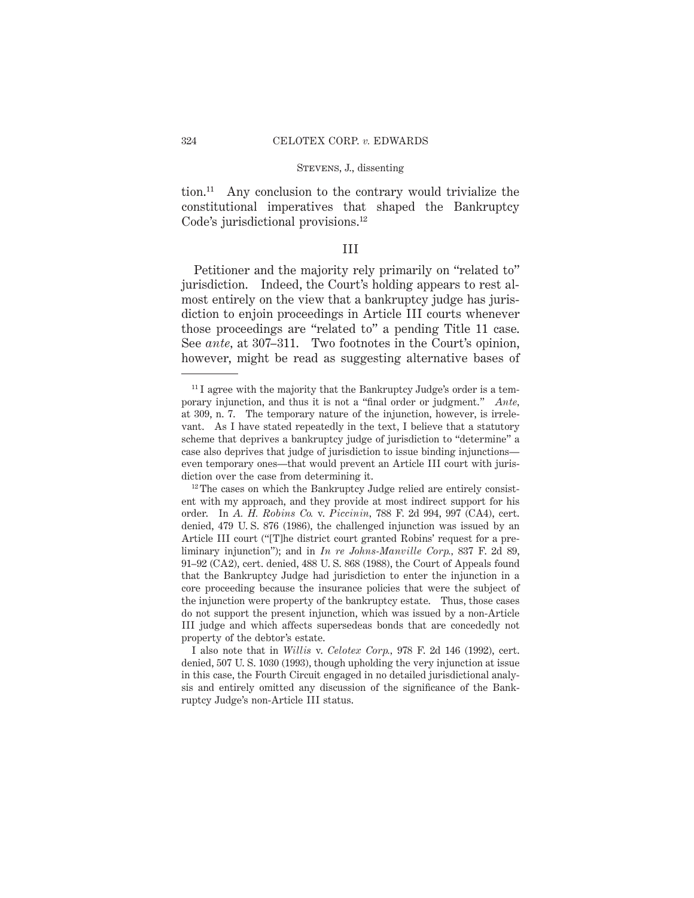tion.11 Any conclusion to the contrary would trivialize the constitutional imperatives that shaped the Bankruptcy Code's jurisdictional provisions.<sup>12</sup>

# III

Petitioner and the majority rely primarily on "related to" jurisdiction. Indeed, the Court's holding appears to rest almost entirely on the view that a bankruptcy judge has jurisdiction to enjoin proceedings in Article III courts whenever those proceedings are "related to" a pending Title 11 case. See *ante,* at 307–311. Two footnotes in the Court's opinion, however, might be read as suggesting alternative bases of

 $11$  I agree with the majority that the Bankruptcy Judge's order is a temporary injunction, and thus it is not a "final order or judgment." *Ante,* at 309, n. 7. The temporary nature of the injunction, however, is irrelevant. As I have stated repeatedly in the text, I believe that a statutory scheme that deprives a bankruptcy judge of jurisdiction to "determine" a case also deprives that judge of jurisdiction to issue binding injunctions even temporary ones—that would prevent an Article III court with jurisdiction over the case from determining it.

 $12$ <sup>12</sup> The cases on which the Bankruptcy Judge relied are entirely consistent with my approach, and they provide at most indirect support for his order. In *A. H. Robins Co.* v. *Piccinin,* 788 F. 2d 994, 997 (CA4), cert. denied, 479 U. S. 876 (1986), the challenged injunction was issued by an Article III court ("[T]he district court granted Robins' request for a preliminary injunction"); and in *In re Johns-Manville Corp.,* 837 F. 2d 89, 91–92 (CA2), cert. denied, 488 U. S. 868 (1988), the Court of Appeals found that the Bankruptcy Judge had jurisdiction to enter the injunction in a core proceeding because the insurance policies that were the subject of the injunction were property of the bankruptcy estate. Thus, those cases do not support the present injunction, which was issued by a non-Article III judge and which affects supersedeas bonds that are concededly not property of the debtor's estate.

I also note that in *Willis* v. *Celotex Corp.,* 978 F. 2d 146 (1992), cert. denied, 507 U. S. 1030 (1993), though upholding the very injunction at issue in this case, the Fourth Circuit engaged in no detailed jurisdictional analysis and entirely omitted any discussion of the significance of the Bankruptcy Judge's non-Article III status.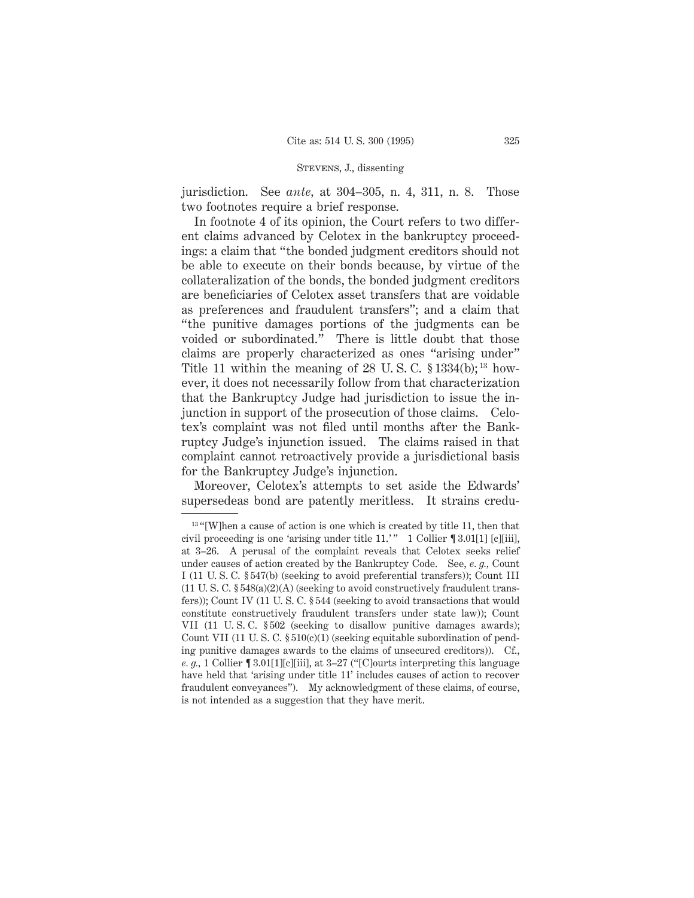jurisdiction. See *ante,* at 304–305, n. 4, 311, n. 8. Those two footnotes require a brief response.

In footnote 4 of its opinion, the Court refers to two different claims advanced by Celotex in the bankruptcy proceedings: a claim that "the bonded judgment creditors should not be able to execute on their bonds because, by virtue of the collateralization of the bonds, the bonded judgment creditors are beneficiaries of Celotex asset transfers that are voidable as preferences and fraudulent transfers"; and a claim that "the punitive damages portions of the judgments can be voided or subordinated." There is little doubt that those claims are properly characterized as ones "arising under" Title 11 within the meaning of 28 U.S.C.  $$1334(b);$ <sup>13</sup> however, it does not necessarily follow from that characterization that the Bankruptcy Judge had jurisdiction to issue the injunction in support of the prosecution of those claims. Celotex's complaint was not filed until months after the Bankruptcy Judge's injunction issued. The claims raised in that complaint cannot retroactively provide a jurisdictional basis for the Bankruptcy Judge's injunction.

Moreover, Celotex's attempts to set aside the Edwards' supersedeas bond are patently meritless. It strains credu-

<sup>&</sup>lt;sup>13</sup> "[W]hen a cause of action is one which is created by title 11, then that civil proceeding is one 'arising under title  $11.'''$  1 Collier  $\P 3.01[1]$  [c][iii], at 3–26. A perusal of the complaint reveals that Celotex seeks relief under causes of action created by the Bankruptcy Code. See, *e. g.,* Count I (11 U. S. C. § 547(b) (seeking to avoid preferential transfers)); Count III  $(11 \text{ U. S. C. }$  § 548(a)(2)(A) (seeking to avoid constructively fraudulent transfers)); Count IV (11 U. S. C. § 544 (seeking to avoid transactions that would constitute constructively fraudulent transfers under state law)); Count VII (11 U. S. C. § 502 (seeking to disallow punitive damages awards); Count VII (11 U. S. C. § 510(c)(1) (seeking equitable subordination of pending punitive damages awards to the claims of unsecured creditors)). Cf., *e. g.,* 1 Collier ¶ 3.01[1][c][iii], at 3–27 ("[C]ourts interpreting this language have held that 'arising under title 11' includes causes of action to recover fraudulent conveyances"). My acknowledgment of these claims, of course, is not intended as a suggestion that they have merit.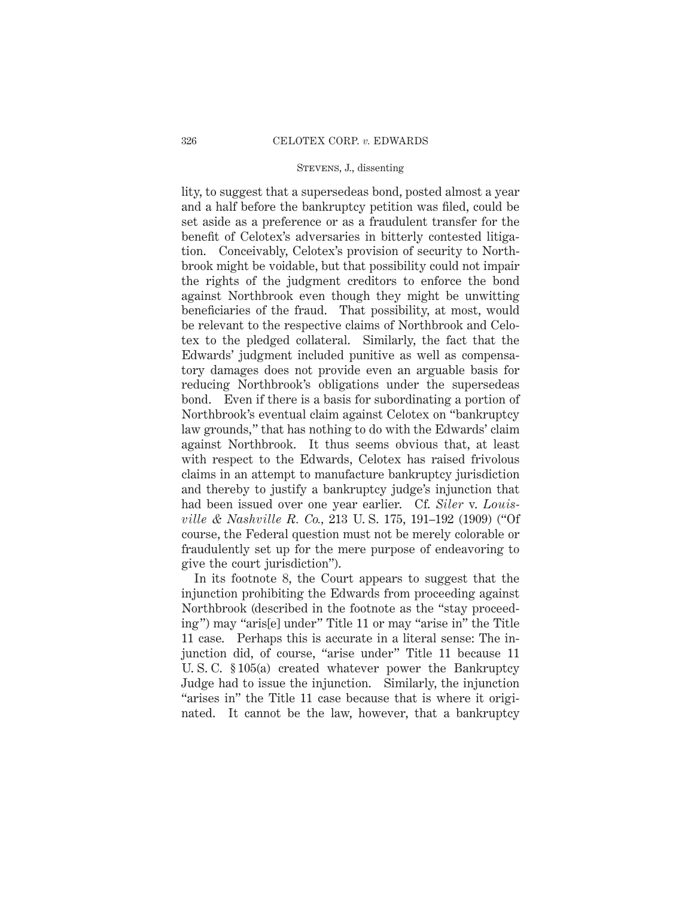lity, to suggest that a supersedeas bond, posted almost a year and a half before the bankruptcy petition was filed, could be set aside as a preference or as a fraudulent transfer for the benefit of Celotex's adversaries in bitterly contested litigation. Conceivably, Celotex's provision of security to Northbrook might be voidable, but that possibility could not impair the rights of the judgment creditors to enforce the bond against Northbrook even though they might be unwitting beneficiaries of the fraud. That possibility, at most, would be relevant to the respective claims of Northbrook and Celotex to the pledged collateral. Similarly, the fact that the Edwards' judgment included punitive as well as compensatory damages does not provide even an arguable basis for reducing Northbrook's obligations under the supersedeas bond. Even if there is a basis for subordinating a portion of Northbrook's eventual claim against Celotex on "bankruptcy law grounds," that has nothing to do with the Edwards' claim against Northbrook. It thus seems obvious that, at least with respect to the Edwards, Celotex has raised frivolous claims in an attempt to manufacture bankruptcy jurisdiction and thereby to justify a bankruptcy judge's injunction that had been issued over one year earlier. Cf. *Siler* v. *Louisville & Nashville R. Co.,* 213 U. S. 175, 191–192 (1909) ("Of course, the Federal question must not be merely colorable or fraudulently set up for the mere purpose of endeavoring to give the court jurisdiction").

In its footnote 8, the Court appears to suggest that the injunction prohibiting the Edwards from proceeding against Northbrook (described in the footnote as the "stay proceeding") may "aris[e] under" Title 11 or may "arise in" the Title 11 case. Perhaps this is accurate in a literal sense: The injunction did, of course, "arise under" Title 11 because 11 U. S. C. § 105(a) created whatever power the Bankruptcy Judge had to issue the injunction. Similarly, the injunction "arises in" the Title 11 case because that is where it originated. It cannot be the law, however, that a bankruptcy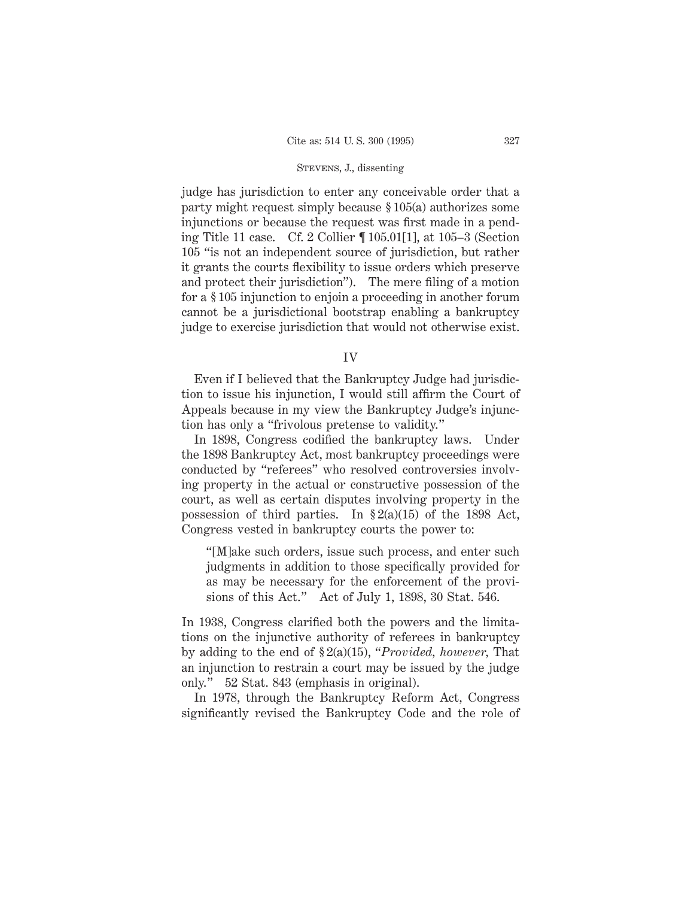judge has jurisdiction to enter any conceivable order that a party might request simply because § 105(a) authorizes some injunctions or because the request was first made in a pending Title 11 case. Cf. 2 Collier ¶ 105.01[1], at 105–3 (Section 105 "is not an independent source of jurisdiction, but rather it grants the courts flexibility to issue orders which preserve and protect their jurisdiction"). The mere filing of a motion for a § 105 injunction to enjoin a proceeding in another forum cannot be a jurisdictional bootstrap enabling a bankruptcy judge to exercise jurisdiction that would not otherwise exist.

IV

Even if I believed that the Bankruptcy Judge had jurisdiction to issue his injunction, I would still affirm the Court of Appeals because in my view the Bankruptcy Judge's injunction has only a "frivolous pretense to validity."

In 1898, Congress codified the bankruptcy laws. Under the 1898 Bankruptcy Act, most bankruptcy proceedings were conducted by "referees" who resolved controversies involving property in the actual or constructive possession of the court, as well as certain disputes involving property in the possession of third parties. In  $\S 2(a)(15)$  of the 1898 Act, Congress vested in bankruptcy courts the power to:

"[M]ake such orders, issue such process, and enter such judgments in addition to those specifically provided for as may be necessary for the enforcement of the provisions of this Act." Act of July 1, 1898, 30 Stat. 546.

In 1938, Congress clarified both the powers and the limitations on the injunctive authority of referees in bankruptcy by adding to the end of § 2(a)(15), "*Provided, however,* That an injunction to restrain a court may be issued by the judge only." 52 Stat. 843 (emphasis in original).

In 1978, through the Bankruptcy Reform Act, Congress significantly revised the Bankruptcy Code and the role of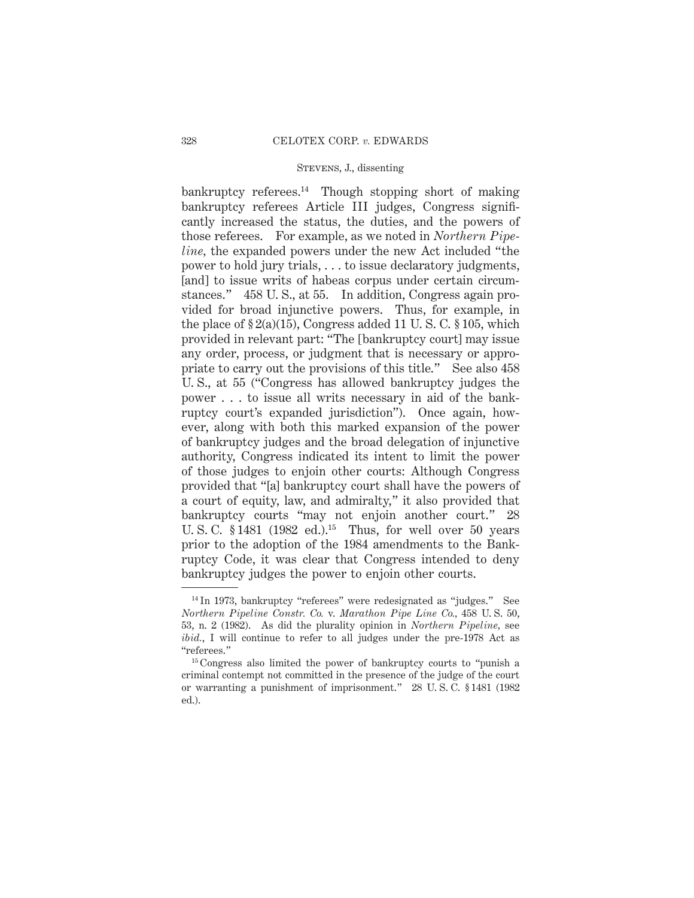bankruptcy referees.14 Though stopping short of making bankruptcy referees Article III judges, Congress significantly increased the status, the duties, and the powers of those referees. For example, as we noted in *Northern Pipeline,* the expanded powers under the new Act included "the power to hold jury trials, . . . to issue declaratory judgments, [and] to issue writs of habeas corpus under certain circumstances." 458 U. S., at 55. In addition, Congress again provided for broad injunctive powers. Thus, for example, in the place of  $\S 2(a)(15)$ , Congress added 11 U.S.C.  $\S 105$ , which provided in relevant part: "The [bankruptcy court] may issue any order, process, or judgment that is necessary or appropriate to carry out the provisions of this title." See also 458 U. S., at 55 ("Congress has allowed bankruptcy judges the power . . . to issue all writs necessary in aid of the bankruptcy court's expanded jurisdiction"). Once again, however, along with both this marked expansion of the power of bankruptcy judges and the broad delegation of injunctive authority, Congress indicated its intent to limit the power of those judges to enjoin other courts: Although Congress provided that "[a] bankruptcy court shall have the powers of a court of equity, law, and admiralty," it also provided that bankruptcy courts "may not enjoin another court." 28 U. S. C. §1481 (1982 ed.).<sup>15</sup> Thus, for well over 50 years prior to the adoption of the 1984 amendments to the Bankruptcy Code, it was clear that Congress intended to deny bankruptcy judges the power to enjoin other courts.

<sup>&</sup>lt;sup>14</sup> In 1973, bankruptcy "referees" were redesignated as "judges." See *Northern Pipeline Constr. Co.* v. *Marathon Pipe Line Co.,* 458 U. S. 50, 53, n. 2 (1982). As did the plurality opinion in *Northern Pipeline,* see *ibid.*, I will continue to refer to all judges under the pre-1978 Act as "referees."

<sup>&</sup>lt;sup>15</sup> Congress also limited the power of bankruptcy courts to "punish a criminal contempt not committed in the presence of the judge of the court or warranting a punishment of imprisonment." 28 U. S. C. § 1481 (1982 ed.).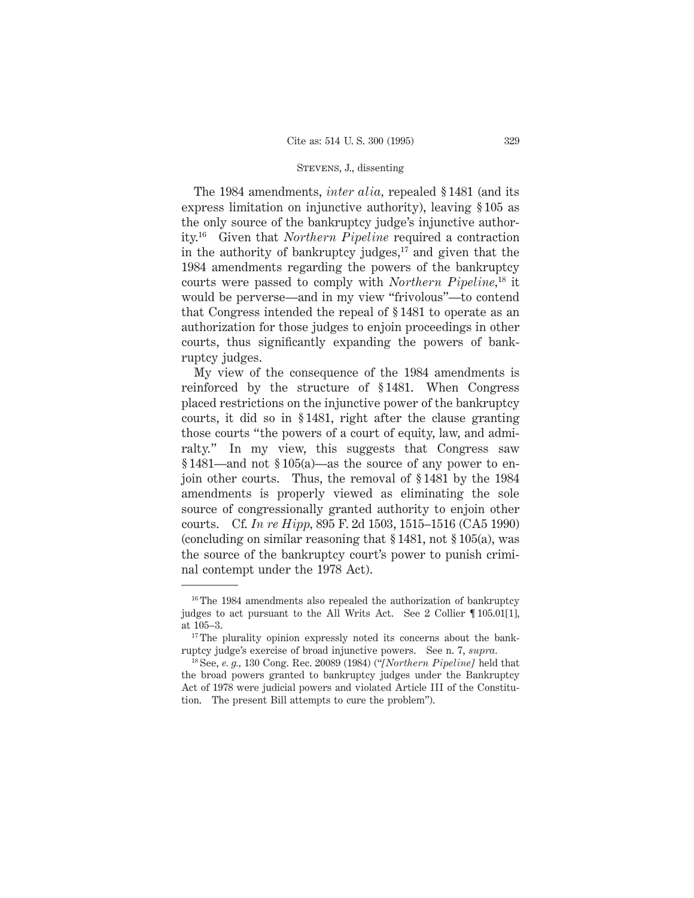The 1984 amendments, *inter alia,* repealed § 1481 (and its express limitation on injunctive authority), leaving § 105 as the only source of the bankruptcy judge's injunctive authority.16 Given that *Northern Pipeline* required a contraction in the authority of bankruptcy judges, $17$  and given that the 1984 amendments regarding the powers of the bankruptcy courts were passed to comply with *Northern Pipeline,*<sup>18</sup> it would be perverse—and in my view "frivolous"—to contend that Congress intended the repeal of § 1481 to operate as an authorization for those judges to enjoin proceedings in other courts, thus significantly expanding the powers of bankruptcy judges.

My view of the consequence of the 1984 amendments is reinforced by the structure of § 1481. When Congress placed restrictions on the injunctive power of the bankruptcy courts, it did so in § 1481, right after the clause granting those courts "the powers of a court of equity, law, and admiralty." In my view, this suggests that Congress saw § 1481—and not § 105(a)—as the source of any power to enjoin other courts. Thus, the removal of § 1481 by the 1984 amendments is properly viewed as eliminating the sole source of congressionally granted authority to enjoin other courts. Cf. *In re Hipp,* 895 F. 2d 1503, 1515–1516 (CA5 1990) (concluding on similar reasoning that § 1481, not § 105(a), was the source of the bankruptcy court's power to punish criminal contempt under the 1978 Act).

<sup>&</sup>lt;sup>16</sup> The 1984 amendments also repealed the authorization of bankruptcy judges to act pursuant to the All Writs Act. See 2 Collier ¶ 105.01[1], at 105–3.

<sup>&</sup>lt;sup>17</sup> The plurality opinion expressly noted its concerns about the bankruptcy judge's exercise of broad injunctive powers. See n. 7, *supra.*

<sup>18</sup> See, *e. g.,* 130 Cong. Rec. 20089 (1984) ("*[Northern Pipeline]* held that the broad powers granted to bankruptcy judges under the Bankruptcy Act of 1978 were judicial powers and violated Article III of the Constitution. The present Bill attempts to cure the problem").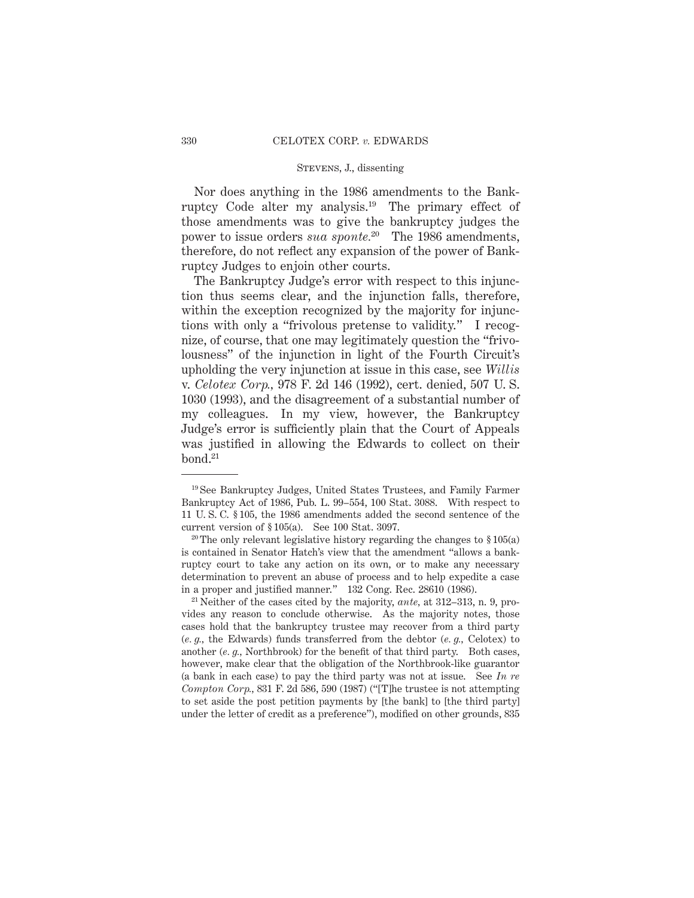Nor does anything in the 1986 amendments to the Bankruptcy Code alter my analysis.19 The primary effect of those amendments was to give the bankruptcy judges the power to issue orders *sua sponte.*<sup>20</sup> The 1986 amendments, therefore, do not reflect any expansion of the power of Bankruptcy Judges to enjoin other courts.

The Bankruptcy Judge's error with respect to this injunction thus seems clear, and the injunction falls, therefore, within the exception recognized by the majority for injunctions with only a "frivolous pretense to validity." I recognize, of course, that one may legitimately question the "frivolousness" of the injunction in light of the Fourth Circuit's upholding the very injunction at issue in this case, see *Willis* v. *Celotex Corp.,* 978 F. 2d 146 (1992), cert. denied, 507 U. S. 1030 (1993), and the disagreement of a substantial number of my colleagues. In my view, however, the Bankruptcy Judge's error is sufficiently plain that the Court of Appeals was justified in allowing the Edwards to collect on their  $bond.<sup>21</sup>$ 

<sup>19</sup> See Bankruptcy Judges, United States Trustees, and Family Farmer Bankruptcy Act of 1986, Pub. L. 99–554, 100 Stat. 3088. With respect to 11 U. S. C. § 105, the 1986 amendments added the second sentence of the current version of § 105(a). See 100 Stat. 3097.

<sup>&</sup>lt;sup>20</sup> The only relevant legislative history regarding the changes to  $\S 105(a)$ is contained in Senator Hatch's view that the amendment "allows a bankruptcy court to take any action on its own, or to make any necessary determination to prevent an abuse of process and to help expedite a case in a proper and justified manner." 132 Cong. Rec. 28610 (1986).

<sup>21</sup> Neither of the cases cited by the majority, *ante,* at 312–313, n. 9, provides any reason to conclude otherwise. As the majority notes, those cases hold that the bankruptcy trustee may recover from a third party (*e. g.,* the Edwards) funds transferred from the debtor (*e. g.,* Celotex) to another (*e. g.,* Northbrook) for the benefit of that third party. Both cases, however, make clear that the obligation of the Northbrook-like guarantor (a bank in each case) to pay the third party was not at issue. See *In re Compton Corp.,* 831 F. 2d 586, 590 (1987) ("[T]he trustee is not attempting to set aside the post petition payments by [the bank] to [the third party] under the letter of credit as a preference"), modified on other grounds, 835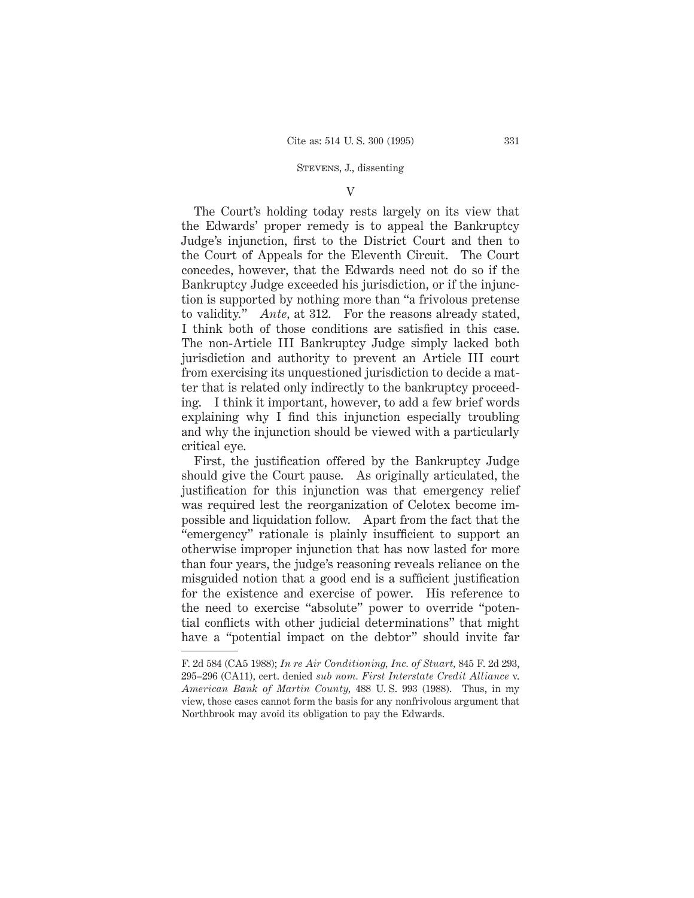#### $\overline{V}$

The Court's holding today rests largely on its view that the Edwards' proper remedy is to appeal the Bankruptcy Judge's injunction, first to the District Court and then to the Court of Appeals for the Eleventh Circuit. The Court concedes, however, that the Edwards need not do so if the Bankruptcy Judge exceeded his jurisdiction, or if the injunction is supported by nothing more than "a frivolous pretense to validity." *Ante,* at 312. For the reasons already stated, I think both of those conditions are satisfied in this case. The non-Article III Bankruptcy Judge simply lacked both jurisdiction and authority to prevent an Article III court from exercising its unquestioned jurisdiction to decide a matter that is related only indirectly to the bankruptcy proceeding. I think it important, however, to add a few brief words explaining why I find this injunction especially troubling and why the injunction should be viewed with a particularly critical eye.

First, the justification offered by the Bankruptcy Judge should give the Court pause. As originally articulated, the justification for this injunction was that emergency relief was required lest the reorganization of Celotex become impossible and liquidation follow. Apart from the fact that the "emergency" rationale is plainly insufficient to support an otherwise improper injunction that has now lasted for more than four years, the judge's reasoning reveals reliance on the misguided notion that a good end is a sufficient justification for the existence and exercise of power. His reference to the need to exercise "absolute" power to override "potential conflicts with other judicial determinations" that might have a "potential impact on the debtor" should invite far

F. 2d 584 (CA5 1988); *In re Air Conditioning, Inc. of Stuart,* 845 F. 2d 293, 295–296 (CA11), cert. denied *sub nom. First Interstate Credit Alliance* v. *American Bank of Martin County,* 488 U. S. 993 (1988). Thus, in my view, those cases cannot form the basis for any nonfrivolous argument that Northbrook may avoid its obligation to pay the Edwards.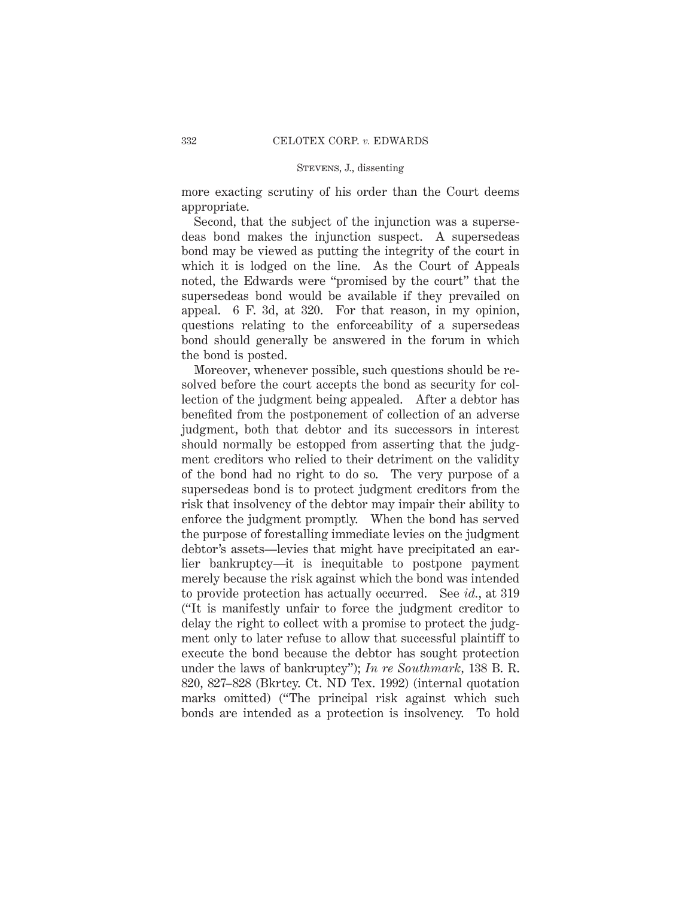more exacting scrutiny of his order than the Court deems appropriate.

Second, that the subject of the injunction was a supersedeas bond makes the injunction suspect. A supersedeas bond may be viewed as putting the integrity of the court in which it is lodged on the line. As the Court of Appeals noted, the Edwards were "promised by the court" that the supersedeas bond would be available if they prevailed on appeal. 6 F. 3d, at 320. For that reason, in my opinion, questions relating to the enforceability of a supersedeas bond should generally be answered in the forum in which the bond is posted.

Moreover, whenever possible, such questions should be resolved before the court accepts the bond as security for collection of the judgment being appealed. After a debtor has benefited from the postponement of collection of an adverse judgment, both that debtor and its successors in interest should normally be estopped from asserting that the judgment creditors who relied to their detriment on the validity of the bond had no right to do so. The very purpose of a supersedeas bond is to protect judgment creditors from the risk that insolvency of the debtor may impair their ability to enforce the judgment promptly. When the bond has served the purpose of forestalling immediate levies on the judgment debtor's assets—levies that might have precipitated an earlier bankruptcy—it is inequitable to postpone payment merely because the risk against which the bond was intended to provide protection has actually occurred. See *id.*, at 319 ("It is manifestly unfair to force the judgment creditor to delay the right to collect with a promise to protect the judgment only to later refuse to allow that successful plaintiff to execute the bond because the debtor has sought protection under the laws of bankruptcy"); *In re Southmark,* 138 B. R. 820, 827–828 (Bkrtcy. Ct. ND Tex. 1992) (internal quotation marks omitted) ("The principal risk against which such bonds are intended as a protection is insolvency. To hold